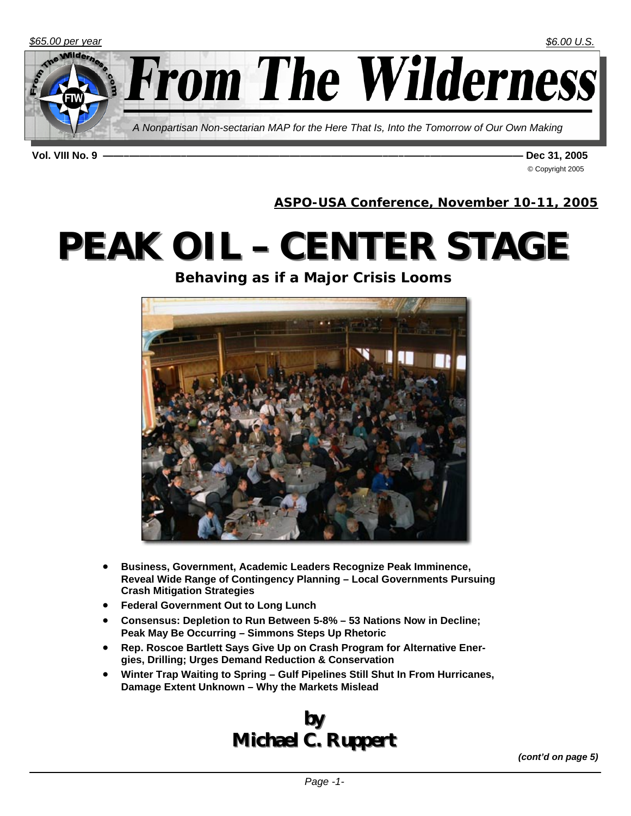

**Vol. VIII No. 9 ——–—————–———————————————————–—–——–————————— Dec 31, 2005** 

© Copyright 2005

**ASPO-USA Conference, November 10-11, 2005**

# **PEAK OIL – CENTER STAGE**

**Behaving as if a Major Crisis Looms** 



- **Business, Government, Academic Leaders Recognize Peak Imminence, Reveal Wide Range of Contingency Planning – Local Governments Pursuing Crash Mitigation Strategies**
- **Federal Government Out to Long Lunch**
- **Consensus: Depletion to Run Between 5-8% 53 Nations Now in Decline; Peak May Be Occurring – Simmons Steps Up Rhetoric**
- **Rep. Roscoe Bartlett Says Give Up on Crash Program for Alternative Energies, Drilling; Urges Demand Reduction & Conservation**
- **Winter Trap Waiting to Spring Gulf Pipelines Still Shut In From Hurricanes, Damage Extent Unknown – Why the Markets Mislead**

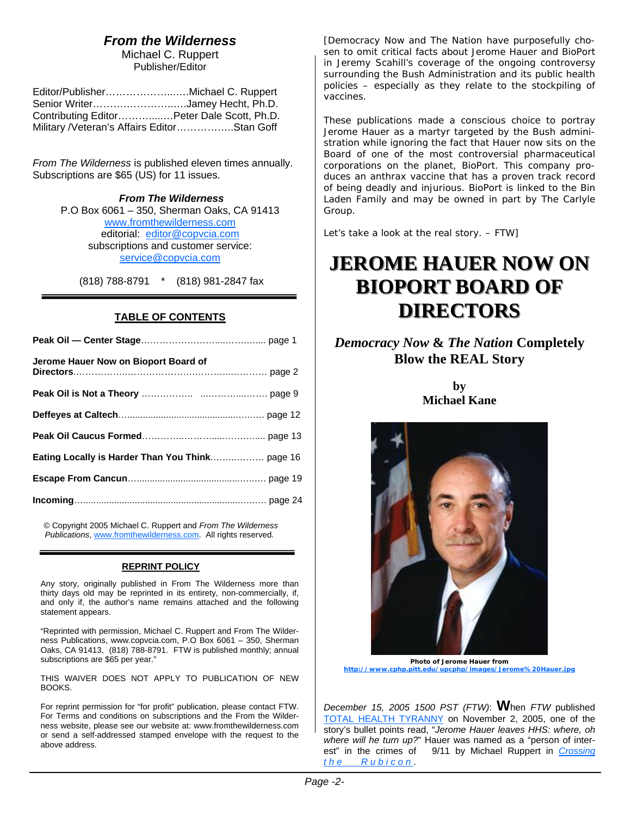## *From the Wilderness*

Michael C. Ruppert Publisher/Editor

| Editor/PublisherMichael C. Ruppert           |  |
|----------------------------------------------|--|
| Senior WriterJamey Hecht, Ph.D.              |  |
| Contributing Editor Peter Dale Scott, Ph.D.  |  |
| Military / Veteran's Affairs EditorStan Goff |  |

*From The Wilderness* is published eleven times annually. Subscriptions are \$65 (US) for 11 issues.

> *From The Wilderness*  P.O Box 6061 – 350, Sherman Oaks, CA 91413 www.fromthewilderness.com editorial: editor@copvcia.com subscriptions and customer service: service@copvcia.com

(818) 788-8791 \* (818) 981-2847 fax

#### **TABLE OF CONTENTS**

| Jerome Hauer Now on Bioport Board of |  |
|--------------------------------------|--|
|                                      |  |
|                                      |  |
|                                      |  |
|                                      |  |
|                                      |  |
|                                      |  |

© Copyright 2005 Michael C. Ruppert and *From The Wilderness Publications*, www.fromthewilderness.com. All rights reserved.

#### **REPRINT POLICY**

Any story, originally published in From The Wilderness more than thirty days old may be reprinted in its entirety, non-commercially, if, and only if, the author's name remains attached and the following statement appears.

"Reprinted with permission, Michael C. Ruppert and From The Wilderness Publications, www.copvcia.com, P.O Box 6061 – 350, Sherman Oaks, CA 91413, (818) 788-8791. FTW is published monthly; annual subscriptions are \$65 per year."

THIS WAIVER DOES NOT APPLY TO PUBLICATION OF NEW BOOKS.

For reprint permission for "for profit" publication, please contact FTW. For Terms and conditions on subscriptions and the From the Wilderness website, please see our website at: www.fromthewilderness.com or send a self-addressed stamped envelope with the request to the above address.

*[*Democracy Now *and* The Nation *have purposefully chosen to omit critical facts about Jerome Hauer and BioPort in Jeremy Scahill's coverage of the ongoing controversy surrounding the Bush Administration and its public health policies – especially as they relate to the stockpiling of vaccines.*

*These publications made a conscious choice to portray Jerome Hauer as a martyr targeted by the Bush administration while ignoring the fact that Hauer now sits on the Board of one of the most controversial pharmaceutical corporations on the planet, BioPort. This company produces an anthrax vaccine that has a proven track record of being deadly and injurious. BioPort is linked to the Bin Laden Family and may be owned in part by The Carlyle Group.*

*Let's take a look at the real story. – FTW]*

## **JEROME HAUER NOW ON JEROME HAUER NOW ON BIOPORT BOARD OF DIRECTORS DIRECTORS**

## *Democracy Now* **&** *The Nation* **Completely Blow the REAL Story**

**by Michael Kane**



**Photo of Jerome Hauer from http://www.cphp.pitt.edu/upcphp/images/Jerome%20Hauer.jpg**

*December 15, 2005 1500 PST (FTW)*: **W**hen *FTW* published TOTAL HEALTH TYRANNY on November 2, 2005, one of the story's bullet points read, "*Jerome Hauer leaves HHS: where, oh where will he turn up?*" Hauer was named as a "person of interest" in the crimes of 9/11 by Michael Ruppert in *Crossing the Rubicon* .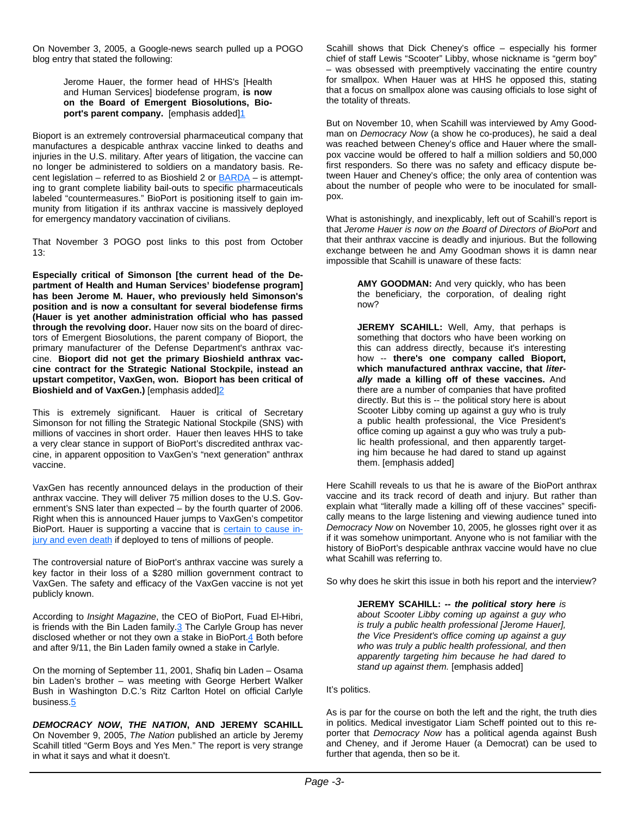On November 3, 2005, a Google-news search pulled up a POGO blog entry that stated the following:

> Jerome Hauer, the former head of HHS's [Health and Human Services] biodefense program, **is now on the Board of Emergent Biosolutions, Bio**port's parent company. [emphasis added]<sup>1</sup>

Bioport is an extremely controversial pharmaceutical company that manufactures a despicable anthrax vaccine linked to deaths and injuries in the U.S. military. After years of litigation, the vaccine can no longer be administered to soldiers on a mandatory basis. Recent legislation – referred to as Bioshield 2 or  $\overline{BARDA}$  – is attempting to grant complete liability bail-outs to specific pharmaceuticals labeled "countermeasures." BioPort is positioning itself to gain immunity from litigation if its anthrax vaccine is massively deployed for emergency mandatory vaccination of civilians.

That November 3 POGO post links to this post from October 13:

**Especially critical of Simonson [the current head of the Department of Health and Human Services' biodefense program] has been Jerome M. Hauer, who previously held Simonson's position and is now a consultant for several biodefense firms (Hauer is yet another administration official who has passed through the revolving door.** Hauer now sits on the board of directors of Emergent Biosolutions, the parent company of Bioport, the primary manufacturer of the Defense Department's anthrax vaccine. **Bioport did not get the primary Bioshield anthrax vaccine contract for the Strategic National Stockpile, instead an upstart competitor, VaxGen, won. Bioport has been critical of Bioshield and of VaxGen.)** [emphasis added]2

This is extremely significant. Hauer is critical of Secretary Simonson for not filling the Strategic National Stockpile (SNS) with millions of vaccines in short order. Hauer then leaves HHS to take a very clear stance in support of BioPort's discredited anthrax vaccine, in apparent opposition to VaxGen's "next generation" anthrax vaccine.

VaxGen has recently announced delays in the production of their anthrax vaccine. They will deliver 75 million doses to the U.S. Government's SNS later than expected – by the fourth quarter of 2006. Right when this is announced Hauer jumps to VaxGen's competitor BioPort. Hauer is supporting a vaccine that is certain to cause injury and even death if deployed to tens of millions of people.

The controversial nature of BioPort's anthrax vaccine was surely a key factor in their loss of a \$280 million government contract to VaxGen. The safety and efficacy of the VaxGen vaccine is not yet publicly known.

According to *Insight Magazine*, the CEO of BioPort, Fuad El-Hibri, is friends with the Bin Laden family.<sup>3</sup> The Carlyle Group has never disclosed whether or not they own a stake in BioPort.4 Both before and after 9/11, the Bin Laden family owned a stake in Carlyle.

On the morning of September 11, 2001, Shafiq bin Laden – Osama bin Laden's brother – was meeting with George Herbert Walker Bush in Washington D.C.'s Ritz Carlton Hotel on official Carlyle business.5

*DEMOCRACY NOW***,** *THE NATION***, AND JEREMY SCAHILL** On November 9, 2005, *The Nation* published an article by Jeremy Scahill titled "Germ Boys and Yes Men." The report is very strange in what it says and what it doesn't.

Scahill shows that Dick Cheney's office – especially his former chief of staff Lewis "Scooter" Libby, whose nickname is "germ boy" – was obsessed with preemptively vaccinating the entire country for smallpox. When Hauer was at HHS he opposed this, stating that a focus on smallpox alone was causing officials to lose sight of the totality of threats.

But on November 10, when Scahill was interviewed by Amy Goodman on *Democracy Now* (a show he co-produces), he said a deal was reached between Cheney's office and Hauer where the smallpox vaccine would be offered to half a million soldiers and 50,000 first responders. So there was no safety and efficacy dispute between Hauer and Cheney's office; the only area of contention was about the number of people who were to be inoculated for smallpox.

What is astonishingly, and inexplicably, left out of Scahill's report is that *Jerome Hauer is now on the Board of Directors of BioPort* and that their anthrax vaccine is deadly and injurious. But the following exchange between he and Amy Goodman shows it is damn near impossible that Scahill is unaware of these facts:

> **AMY GOODMAN:** And very quickly, who has been the beneficiary, the corporation, of dealing right now?

**JEREMY SCAHILL:** Well, Amy, that perhaps is something that doctors who have been working on this can address directly, because it's interesting how -- **there's one company called Bioport, which manufactured anthrax vaccine, that** *literally* **made a killing off of these vaccines.** And there are a number of companies that have profited directly. But this is -- the political story here is about Scooter Libby coming up against a guy who is truly a public health professional, the Vice President's office coming up against a guy who was truly a public health professional, and then apparently targeting him because he had dared to stand up against them. [emphasis added]

Here Scahill reveals to us that he is aware of the BioPort anthrax vaccine and its track record of death and injury. But rather than explain what "literally made a killing off of these vaccines" specifically means to the large listening and viewing audience tuned into *Democracy Now* on November 10, 2005, he glosses right over it as if it was somehow unimportant. Anyone who is not familiar with the history of BioPort's despicable anthrax vaccine would have no clue what Scahill was referring to.

So why does he skirt this issue in both his report and the interview?

**JEREMY SCAHILL:** *-- the political story here is about Scooter Libby coming up against a guy who is truly a public health professional [Jerome Hauer], the Vice President's office coming up against a guy who was truly a public health professional, and then apparently targeting him because he had dared to stand up against them.* [emphasis added]

It's politics.

As is par for the course on both the left and the right, the truth dies in politics. Medical investigator Liam Scheff pointed out to this reporter that *Democracy Now* has a political agenda against Bush and Cheney, and if Jerome Hauer (a Democrat) can be used to further that agenda, then so be it.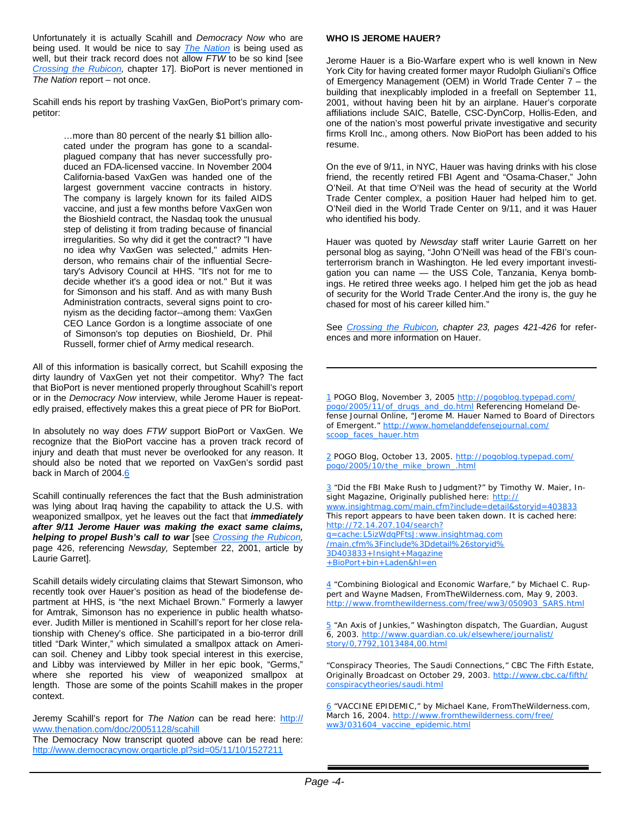Unfortunately it is actually Scahill and *Democracy Now* who are being used. It would be nice to say *The Nation* is being used as well, but their track record does not allow *FTW* to be so kind [see *Crossing the Rubicon,* chapter 17]. BioPort is never mentioned in *The Nation* report – not once.

Scahill ends his report by trashing VaxGen, BioPort's primary competitor:

> …more than 80 percent of the nearly \$1 billion allocated under the program has gone to a scandalplagued company that has never successfully produced an FDA-licensed vaccine. In November 2004 California-based VaxGen was handed one of the largest government vaccine contracts in history. The company is largely known for its failed AIDS vaccine, and just a few months before VaxGen won the Bioshield contract, the Nasdaq took the unusual step of delisting it from trading because of financial irregularities. So why did it get the contract? "I have no idea why VaxGen was selected," admits Henderson, who remains chair of the influential Secretary's Advisory Council at HHS. "It's not for me to decide whether it's a good idea or not." But it was for Simonson and his staff. And as with many Bush Administration contracts, several signs point to cronyism as the deciding factor--among them: VaxGen CEO Lance Gordon is a longtime associate of one of Simonson's top deputies on Bioshield, Dr. Phil Russell, former chief of Army medical research.

All of this information is basically correct, but Scahill exposing the dirty laundry of VaxGen yet not their competitor. Why? The fact that BioPort is never mentioned properly throughout Scahill's report or in the *Democracy Now* interview, while Jerome Hauer is repeatedly praised, effectively makes this a great piece of PR for BioPort.

In absolutely no way does *FTW* support BioPort or VaxGen. We recognize that the BioPort vaccine has a proven track record of injury and death that must never be overlooked for any reason. It should also be noted that we reported on VaxGen's sordid past back in March of 2004.6

Scahill continually references the fact that the Bush administration was lying about Iraq having the capability to attack the U.S. with weaponized smallpox, yet he leaves out the fact that *immediately after 9/11 Jerome Hauer was making the exact same claims, helping to propel Bush's call to war* [see *Crossing the Rubicon,* page 426, referencing *Newsday,* September 22, 2001, article by Laurie Garret].

Scahill details widely circulating claims that Stewart Simonson, who recently took over Hauer's position as head of the biodefense department at HHS, is "the next Michael Brown." Formerly a lawyer for Amtrak, Simonson has no experience in public health whatsoever. Judith Miller is mentioned in Scahill's report for her close relationship with Cheney's office. She participated in a bio-terror drill titled "Dark Winter," which simulated a smallpox attack on American soil. Cheney and Libby took special interest in this exercise, and Libby was interviewed by Miller in her epic book, "Germs," where she reported his view of weaponized smallpox at length. Those are some of the points Scahill makes in the proper context.

Jeremy Scahill's report for *The Nation* can be read here: http:// www.thenation.com/doc/20051128/scahill

The Democracy Now transcript quoted above can be read here: http://www.democracynow.orgarticle.pl?sid=05/11/10/1527211

#### **WHO IS JEROME HAUER?**

Jerome Hauer is a Bio-Warfare expert who is well known in New York City for having created former mayor Rudolph Giuliani's Office of Emergency Management (OEM) in World Trade Center 7 – the building that inexplicably imploded in a freefall on September 11, 2001, without having been hit by an airplane. Hauer's corporate affiliations include SAIC, Batelle, CSC-DynCorp, Hollis-Eden, and one of the nation's most powerful private investigative and security firms Kroll Inc., among others. Now BioPort has been added to his resume.

On the eve of 9/11, in NYC, Hauer was having drinks with his close friend, the recently retired FBI Agent and "Osama-Chaser," John O'Neil. At that time O'Neil was the head of security at the World Trade Center complex, a position Hauer had helped him to get. O'Neil died in the World Trade Center on 9/11, and it was Hauer who identified his body.

Hauer was quoted by *Newsday* staff writer Laurie Garrett on her personal blog as saying, "John O'Neill was head of the FBI's counterterrorism branch in Washington. He led every important investigation you can name — the USS Cole, Tanzania, Kenya bombings. He retired three weeks ago. I helped him get the job as head of security for the World Trade Center.And the irony is, the guy he chased for most of his career killed him."

See *Crossing the Rubicon, chapter 23, pages 421-426* for references and more information on Hauer.

1 POGO Blog, November 3, 2005 http://pogoblog.typepad.com/ pogo/2005/11/of\_drugs\_and\_do.html Referencing Homeland Defense Journal Online, "Jerome M. Hauer Named to Board of Directors of Emergent." http://www.homelanddefensejournal.com/ scoop\_faces\_hauer.htm

2 POGO Blog, October 13, 2005. http://pogoblog.typepad.com/ pogo/2005/10/the\_mike\_brown\_.html

3 "Did the FBI Make Rush to Judgment?" by Timothy W. Maier, *In*sight Magazine, Originally published here: http:// www.insightmag.com/main.cfm?include=detail&storyid=403833 This report appears to have been taken down. It is cached here: http://72.14.207.104/search? q=cache:L5izWdqPFtsJ:www.insightmag.com /main.cfm%3Finclude%3Ddetail%26storyid% 3D403833+Insight+Magazine +BioPort+bin+Laden&hl=en

4 "Combining Biological and Economic Warfare," by Michael C. Ruppert and Wayne Madsen, *FromTheWilderness.com,* May 9, 2003. http://www.fromthewilderness.com/free/ww3/050903\_SARS.html

5 "An Axis of Junkies," Washington dispatch, *The Guardian,* August 6, 2003. http://www.guardian.co.uk/elsewhere/journalist/ story/0,7792,1013484,00.html

"Conspiracy Theories, The Saudi Connections," *CBC The Fifth Estate,* Originally Broadcast on October 29, 2003. http://www.cbc.ca/fifth/ conspiracytheories/saudi.html

6 "VACCINE EPIDEMIC," by Michael Kane, *FromTheWilderness.com,* March 16, 2004. http://www.fromthewilderness.com/free/ ww3/031604\_vaccine\_epidemic.html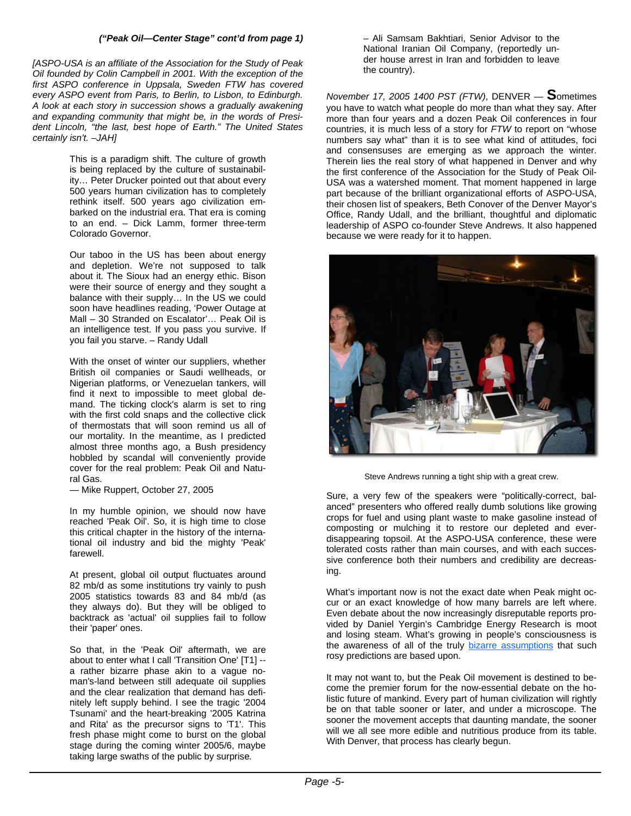#### *("Peak Oil—Center Stage" cont'd from page 1)*

*[ASPO-USA is an affiliate of the Association for the Study of Peak Oil founded by Colin Campbell in 2001. With the exception of the first ASPO conference in Uppsala, Sweden FTW has covered every ASPO event from Paris, to Berlin, to Lisbon, to Edinburgh. A look at each story in succession shows a gradually awakening and expanding community that might be, in the words of President Lincoln, "the last, best hope of Earth." The United States certainly isn't. –JAH]* 

> This is a paradigm shift. The culture of growth is being replaced by the culture of sustainability… Peter Drucker pointed out that about every 500 years human civilization has to completely rethink itself. 500 years ago civilization embarked on the industrial era. That era is coming to an end. – Dick Lamm, former three-term Colorado Governor.

> Our taboo in the US has been about energy and depletion. We're not supposed to talk about it. The Sioux had an energy ethic. Bison were their source of energy and they sought a balance with their supply… In the US we could soon have headlines reading, 'Power Outage at Mall – 30 Stranded on Escalator'… Peak Oil is an intelligence test. If you pass you survive. If you fail you starve. *–* Randy Udall

> With the onset of winter our suppliers, whether British oil companies or Saudi wellheads, or Nigerian platforms, or Venezuelan tankers, will find it next to impossible to meet global demand. The ticking clock's alarm is set to ring with the first cold snaps and the collective click of thermostats that will soon remind us all of our mortality. In the meantime, as I predicted almost three months ago, a Bush presidency hobbled by scandal will conveniently provide cover for the real problem: Peak Oil and Natural Gas.

— Mike Ruppert, October 27, 2005

In my humble opinion, we should now have reached 'Peak Oil'. So, it is high time to close this critical chapter in the history of the international oil industry and bid the mighty 'Peak' farewell.

At present, global oil output fluctuates around 82 mb/d as some institutions try vainly to push 2005 statistics towards 83 and 84 mb/d (as they always do). But they will be obliged to backtrack as 'actual' oil supplies fail to follow their 'paper' ones.

So that, in the 'Peak Oil' aftermath, we are about to enter what I call 'Transition One' [T1] - a rather bizarre phase akin to a vague noman's-land between still adequate oil supplies and the clear realization that demand has definitely left supply behind. I see the tragic '2004 Tsunami' and the heart-breaking '2005 Katrina and Rita' as the precursor signs to 'T1'. This fresh phase might come to burst on the global stage during the coming winter 2005/6, maybe taking large swaths of the public by surprise*.* 

– Ali Samsam Bakhtiari, Senior Advisor to the National Iranian Oil Company, (reportedly under house arrest in Iran and forbidden to leave the country).

*November 17, 2005 1400 PST (FTW)*, DENVER — **S**ometimes you have to watch what people do more than what they say. After more than four years and a dozen Peak Oil conferences in four countries, it is much less of a story for *FTW* to report on "whose numbers say what" than it is to see what kind of attitudes, foci and consensuses are emerging as we approach the winter. Therein lies the real story of what happened in Denver and why the first conference of the Association for the Study of Peak Oil-USA was a watershed moment. That moment happened in large part because of the brilliant organizational efforts of ASPO-USA, their chosen list of speakers, Beth Conover of the Denver Mayor's Office, Randy Udall, and the brilliant, thoughtful and diplomatic leadership of ASPO co-founder Steve Andrews. It also happened because we were ready for it to happen.



Steve Andrews running a tight ship with a great crew.

Sure, a very few of the speakers were "politically-correct, balanced" presenters who offered really dumb solutions like growing crops for fuel and using plant waste to make gasoline instead of composting or mulching it to restore our depleted and everdisappearing topsoil. At the ASPO-USA conference, these were tolerated costs rather than main courses, and with each successive conference both their numbers and credibility are decreasing.

What's important now is not the exact date when Peak might occur or an exact knowledge of how many barrels are left where. Even debate about the now increasingly disreputable reports provided by Daniel Yergin's Cambridge Energy Research is moot and losing steam. What's growing in people's consciousness is the awareness of all of the truly bizarre assumptions that such rosy predictions are based upon.

It may not want to, but the Peak Oil movement is destined to become the premier forum for the now-essential debate on the holistic future of mankind. Every part of human civilization will rightly be on that table sooner or later, and under a microscope. The sooner the movement accepts that daunting mandate, the sooner will we all see more edible and nutritious produce from its table. With Denver, that process has clearly begun.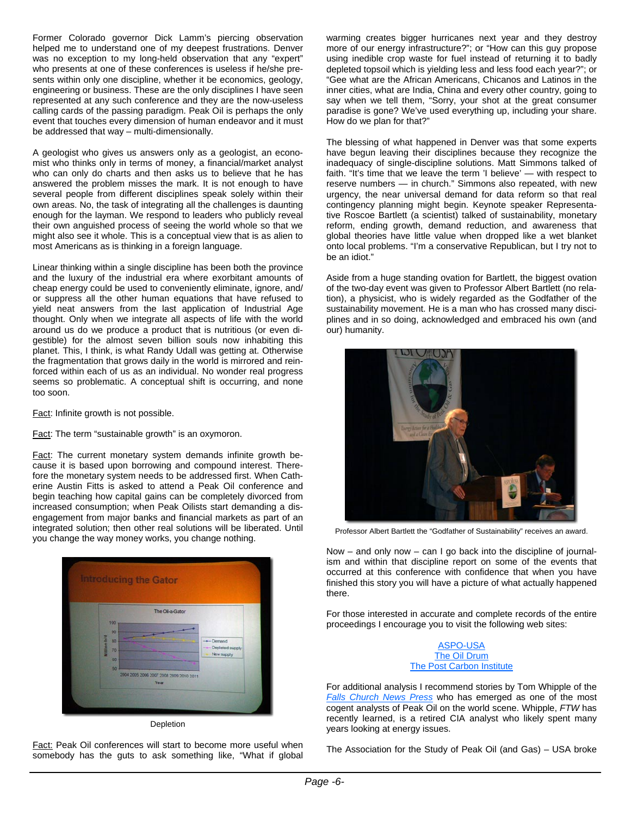Former Colorado governor Dick Lamm's piercing observation helped me to understand one of my deepest frustrations. Denver was no exception to my long-held observation that any "expert" who presents at one of these conferences is useless if he/she presents within only one discipline, whether it be economics, geology, engineering or business. These are the only disciplines I have seen represented at any such conference and they are the now-useless calling cards of the passing paradigm. Peak Oil is perhaps the only event that touches every dimension of human endeavor and it must be addressed that way – multi-dimensionally.

A geologist who gives us answers only as a geologist, an economist who thinks only in terms of money, a financial/market analyst who can only do charts and then asks us to believe that he has answered the problem misses the mark. It is not enough to have several people from different disciplines speak solely within their own areas. No, the task of integrating all the challenges is daunting enough for the layman. We respond to leaders who publicly reveal their own anguished process of seeing the world whole so that we might also see it whole. This is a conceptual view that is as alien to most Americans as is thinking in a foreign language.

Linear thinking within a single discipline has been both the province and the luxury of the industrial era where exorbitant amounts of cheap energy could be used to conveniently eliminate, ignore, and/ or suppress all the other human equations that have refused to yield neat answers from the last application of Industrial Age thought. Only when we integrate all aspects of life with the world around us do we produce a product that is nutritious (or even digestible) for the almost seven billion souls now inhabiting this planet. This, I think, is what Randy Udall was getting at. Otherwise the fragmentation that grows daily in the world is mirrored and reinforced within each of us as an individual. No wonder real progress seems so problematic. A conceptual shift is occurring, and none too soon.

Fact: Infinite growth is not possible.

Fact: The term "sustainable growth" is an oxymoron.

Fact: The current monetary system demands infinite growth because it is based upon borrowing and compound interest. Therefore the monetary system needs to be addressed first. When Catherine Austin Fitts is asked to attend a Peak Oil conference and begin teaching how capital gains can be completely divorced from increased consumption; when Peak Oilists start demanding a disengagement from major banks and financial markets as part of an integrated solution; then other real solutions will be liberated. Until you change the way money works, you change nothing.



Depletion

Fact: Peak Oil conferences will start to become more useful when somebody has the guts to ask something like, "What if global warming creates bigger hurricanes next year and they destroy more of our energy infrastructure?"; or "How can this guy propose using inedible crop waste for fuel instead of returning it to badly depleted topsoil which is yielding less and less food each year?"; or "Gee what are the African Americans, Chicanos and Latinos in the inner cities, what are India, China and every other country, going to say when we tell them, "Sorry, your shot at the great consumer paradise is gone? We've used everything up, including your share. How do we plan for that?"

The blessing of what happened in Denver was that some experts have begun leaving their disciplines because they recognize the inadequacy of single-discipline solutions. Matt Simmons talked of faith. "It's time that we leave the term 'I believe' — with respect to reserve numbers — in church." Simmons also repeated, with new urgency, the near universal demand for data reform so that real contingency planning might begin. Keynote speaker Representative Roscoe Bartlett (a scientist) talked of sustainability, monetary reform, ending growth, demand reduction, and awareness that global theories have little value when dropped like a wet blanket onto local problems. "I'm a conservative Republican, but I try not to be an idiot."

Aside from a huge standing ovation for Bartlett, the biggest ovation of the two-day event was given to Professor Albert Bartlett (no relation), a physicist, who is widely regarded as the Godfather of the sustainability movement. He is a man who has crossed many disciplines and in so doing, acknowledged and embraced his own (and our) humanity.



Professor Albert Bartlett the "Godfather of Sustainability" receives an award.

Now – and only now – can I go back into the discipline of journalism and within that discipline report on some of the events that occurred at this conference with confidence that when you have finished this story you will have a picture of what actually happened there.

For those interested in accurate and complete records of the entire proceedings I encourage you to visit the following web sites:

#### ASPO-USA The Oil Drum The Post Carbon Institute

For additional analysis I recommend stories by Tom Whipple of the *Falls Church News Press* who has emerged as one of the most cogent analysts of Peak Oil on the world scene. Whipple, *FTW* has recently learned, is a retired CIA analyst who likely spent many years looking at energy issues.

The Association for the Study of Peak Oil (and Gas) – USA broke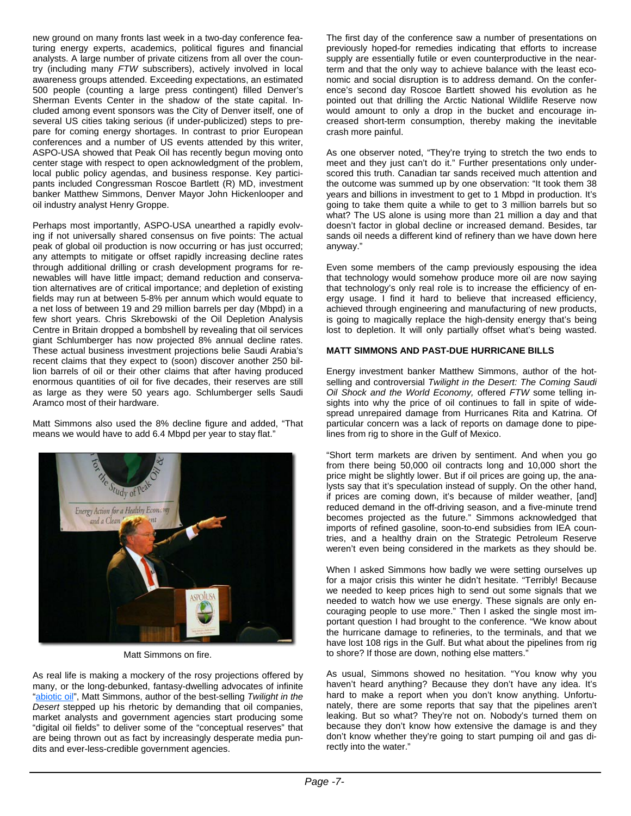new ground on many fronts last week in a two-day conference featuring energy experts, academics, political figures and financial analysts. A large number of private citizens from all over the country (including many *FTW* subscribers), actively involved in local awareness groups attended. Exceeding expectations, an estimated 500 people (counting a large press contingent) filled Denver's Sherman Events Center in the shadow of the state capital. Included among event sponsors was the City of Denver itself, one of several US cities taking serious (if under-publicized) steps to prepare for coming energy shortages. In contrast to prior European conferences and a number of US events attended by this writer, ASPO-USA showed that Peak Oil has recently begun moving onto center stage with respect to open acknowledgment of the problem, local public policy agendas, and business response. Key participants included Congressman Roscoe Bartlett (R) MD, investment banker Matthew Simmons, Denver Mayor John Hickenlooper and oil industry analyst Henry Groppe.

Perhaps most importantly, ASPO-USA unearthed a rapidly evolving if not universally shared consensus on five points: The actual peak of global oil production is now occurring or has just occurred; any attempts to mitigate or offset rapidly increasing decline rates through additional drilling or crash development programs for renewables will have little impact; demand reduction and conservation alternatives are of critical importance; and depletion of existing fields may run at between 5-8% per annum which would equate to a net loss of between 19 and 29 million barrels per day (Mbpd) in a few short years. Chris Skrebowski of the Oil Depletion Analysis Centre in Britain dropped a bombshell by revealing that oil services giant Schlumberger has now projected 8% annual decline rates. These actual business investment projections belie Saudi Arabia's recent claims that they expect to (soon) discover another 250 billion barrels of oil or their other claims that after having produced enormous quantities of oil for five decades, their reserves are still as large as they were 50 years ago. Schlumberger sells Saudi Aramco most of their hardware.

Matt Simmons also used the 8% decline figure and added, "That means we would have to add 6.4 Mbpd per year to stay flat."



Matt Simmons on fire.

As real life is making a mockery of the rosy projections offered by many, or the long-debunked, fantasy-dwelling advocates of infinite "abiotic oil", Matt Simmons, author of the best-selling *Twilight in the Desert* stepped up his rhetoric by demanding that oil companies, market analysts and government agencies start producing some "digital oil fields" to deliver some of the "conceptual reserves" that are being thrown out as fact by increasingly desperate media pundits and ever-less-credible government agencies.

The first day of the conference saw a number of presentations on previously hoped-for remedies indicating that efforts to increase supply are essentially futile or even counterproductive in the nearterm and that the only way to achieve balance with the least economic and social disruption is to address demand. On the conference's second day Roscoe Bartlett showed his evolution as he pointed out that drilling the Arctic National Wildlife Reserve now would amount to only a drop in the bucket and encourage increased short-term consumption, thereby making the inevitable crash more painful.

As one observer noted, "They're trying to stretch the two ends to meet and they just can't do it." Further presentations only underscored this truth. Canadian tar sands received much attention and the outcome was summed up by one observation: "It took them 38 years and billions in investment to get to 1 Mbpd in production. It's going to take them quite a while to get to 3 million barrels but so what? The US alone is using more than 21 million a day and that doesn't factor in global decline or increased demand. Besides, tar sands oil needs a different kind of refinery than we have down here anyway."

Even some members of the camp previously espousing the idea that technology would somehow produce more oil are now saying that technology's only real role is to increase the efficiency of energy usage. I find it hard to believe that increased efficiency, achieved through engineering and manufacturing of new products, is going to magically replace the high-density energy that's being lost to depletion. It will only partially offset what's being wasted.

#### **MATT SIMMONS AND PAST-DUE HURRICANE BILLS**

Energy investment banker Matthew Simmons, author of the hotselling and controversial *Twilight in the Desert: The Coming Saudi Oil Shock and the World Economy,* offered *FTW* some telling insights into why the price of oil continues to fall in spite of widespread unrepaired damage from Hurricanes Rita and Katrina. Of particular concern was a lack of reports on damage done to pipelines from rig to shore in the Gulf of Mexico.

"Short term markets are driven by sentiment. And when you go from there being 50,000 oil contracts long and 10,000 short the price might be slightly lower. But if oil prices are going up, the analysts say that it's speculation instead of supply. On the other hand, if prices are coming down, it's because of milder weather, [and] reduced demand in the off-driving season, and a five-minute trend becomes projected as the future." Simmons acknowledged that imports of refined gasoline, soon-to-end subsidies from IEA countries, and a healthy drain on the Strategic Petroleum Reserve weren't even being considered in the markets as they should be.

When I asked Simmons how badly we were setting ourselves up for a major crisis this winter he didn't hesitate. "Terribly! Because we needed to keep prices high to send out some signals that we needed to watch how we use energy. These signals are only encouraging people to use more." Then I asked the single most important question I had brought to the conference. "We know about the hurricane damage to refineries, to the terminals, and that we have lost 108 rigs in the Gulf. But what about the pipelines from rig to shore? If those are down, nothing else matters."

As usual, Simmons showed no hesitation. "You know why you haven't heard anything? Because they don't have any idea. It's hard to make a report when you don't know anything. Unfortunately, there are some reports that say that the pipelines aren't leaking. But so what? They're not on. Nobody's turned them on because they don't know how extensive the damage is and they don't know whether they're going to start pumping oil and gas directly into the water."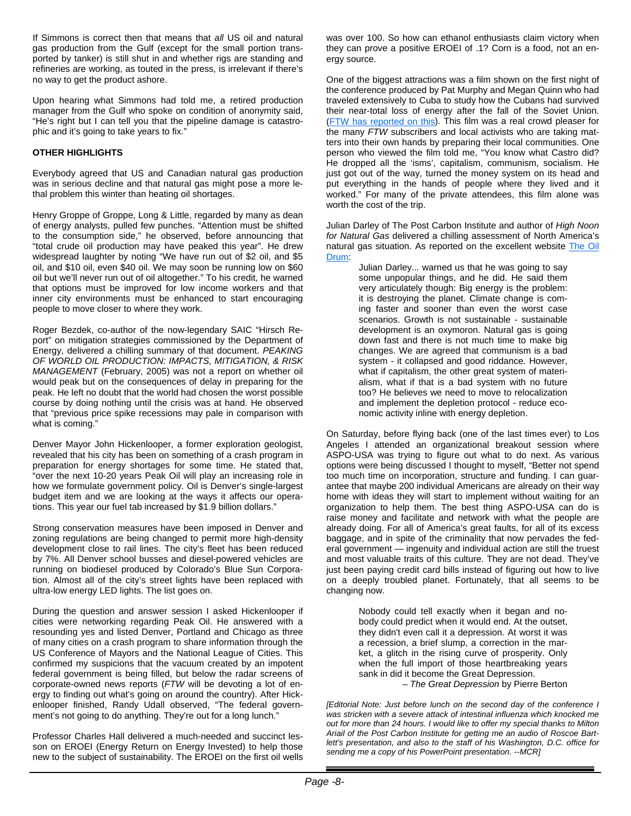If Simmons is correct then that means that *all* US oil and natural gas production from the Gulf (except for the small portion transported by tanker) is still shut in and whether rigs are standing and refineries are working, as touted in the press, is irrelevant if there's no way to get the product ashore.

Upon hearing what Simmons had told me, a retired production manager from the Gulf who spoke on condition of anonymity said, "He's right but I can tell you that the pipeline damage is catastrophic and it's going to take years to fix."

#### **OTHER HIGHLIGHTS**

Everybody agreed that US and Canadian natural gas production was in serious decline and that natural gas might pose a more lethal problem this winter than heating oil shortages.

Henry Groppe of Groppe, Long & Little, regarded by many as dean of energy analysts, pulled few punches. "Attention must be shifted to the consumption side," he observed, before announcing that "total crude oil production may have peaked this year". He drew widespread laughter by noting "We have run out of \$2 oil, and \$5 oil, and \$10 oil, even \$40 oil. We may soon be running low on \$60 oil but we'll never run out of oil altogether." To his credit, he warned that options must be improved for low income workers and that inner city environments must be enhanced to start encouraging people to move closer to where they work.

Roger Bezdek, co-author of the now-legendary SAIC "Hirsch Report" on mitigation strategies commissioned by the Department of Energy, delivered a chilling summary of that document. *PEAKING OF WORLD OIL PRODUCTION: IMPACTS, MITIGATION, & RISK MANAGEMENT* (February, 2005) was not a report on whether oil would peak but on the consequences of delay in preparing for the peak. He left no doubt that the world had chosen the worst possible course by doing nothing until the crisis was at hand. He observed that "previous price spike recessions may pale in comparison with what is coming."

Denver Mayor John Hickenlooper, a former exploration geologist, revealed that his city has been on something of a crash program in preparation for energy shortages for some time. He stated that, "over the next 10-20 years Peak Oil will play an increasing role in how we formulate government policy. Oil is Denver's single-largest budget item and we are looking at the ways it affects our operations. This year our fuel tab increased by \$1.9 billion dollars."

Strong conservation measures have been imposed in Denver and zoning regulations are being changed to permit more high-density development close to rail lines. The city's fleet has been reduced by 7%. All Denver school busses and diesel-powered vehicles are running on biodiesel produced by Colorado's Blue Sun Corporation. Almost all of the city's street lights have been replaced with ultra-low energy LED lights. The list goes on.

During the question and answer session I asked Hickenlooper if cities were networking regarding Peak Oil. He answered with a resounding yes and listed Denver, Portland and Chicago as three of many cities on a crash program to share information through the US Conference of Mayors and the National League of Cities. This confirmed my suspicions that the vacuum created by an impotent federal government is being filled, but below the radar screens of corporate-owned news reports (*FTW* will be devoting a lot of energy to finding out what's going on around the country). After Hickenlooper finished, Randy Udall observed, "The federal government's not going to do anything. They're out for a long lunch."

Professor Charles Hall delivered a much-needed and succinct lesson on EROEI (Energy Return on Energy Invested) to help those new to the subject of sustainability. The EROEI on the first oil wells was over 100. So how can ethanol enthusiasts claim victory when they can prove a positive EROEI of .1? Corn is a food, not an energy source.

One of the biggest attractions was a film shown on the first night of the conference produced by Pat Murphy and Megan Quinn who had traveled extensively to Cuba to study how the Cubans had survived their near-total loss of energy after the fall of the Soviet Union. (FTW has reported on this). This film was a real crowd pleaser for the many *FTW* subscribers and local activists who are taking matters into their own hands by preparing their local communities. One person who viewed the film told me, "You know what Castro did? He dropped all the 'isms', capitalism, communism, socialism. He just got out of the way, turned the money system on its head and put everything in the hands of people where they lived and it worked." For many of the private attendees, this film alone was worth the cost of the trip.

Julian Darley of The Post Carbon Institute and author of *High Noon for Natural Gas* delivered a chilling assessment of North America's natural gas situation. As reported on the excellent website The Oil Drum:

Julian Darley... warned us that he was going to say some unpopular things, and he did. He said them very articulately though: Big energy is the problem: it is destroying the planet. Climate change is coming faster and sooner than even the worst case scenarios. Growth is not sustainable - sustainable development is an oxymoron. Natural gas is going down fast and there is not much time to make big changes. We are agreed that communism is a bad system - it collapsed and good riddance. However, what if capitalism, the other great system of materialism, what if that is a bad system with no future too? He believes we need to move to relocalization and implement the depletion protocol - reduce economic activity inline with energy depletion.

On Saturday, before flying back (one of the last times ever) to Los Angeles I attended an organizational breakout session where ASPO-USA was trying to figure out what to do next. As various options were being discussed I thought to myself, "Better not spend too much time on incorporation, structure and funding. I can guarantee that maybe 200 individual Americans are already on their way home with ideas they will start to implement without waiting for an organization to help them. The best thing ASPO-USA can do is raise money and facilitate and network with what the people are already doing. For all of America's great faults, for all of its excess baggage, and in spite of the criminality that now pervades the federal government — ingenuity and individual action are still the truest and most valuable traits of this culture. They are not dead. They've just been paying credit card bills instead of figuring out how to live on a deeply troubled planet. Fortunately, that all seems to be changing now.

> Nobody could tell exactly when it began and nobody could predict when it would end. At the outset, they didn't even call it a depression. At worst it was a recession, a brief slump, a correction in the market, a glitch in the rising curve of prosperity. Only when the full import of those heartbreaking years sank in did it become the Great Depression.

> > – *The Great Depression* by Pierre Berton

*[Editorial Note: Just before lunch on the second day of the conference I was stricken with a severe attack of intestinal influenza which knocked me out for more than 24 hours. I would like to offer my special thanks to Milton Ariail of the Post Carbon Institute for getting me an audio of Roscoe Bartlett's presentation, and also to the staff of his Washington, D.C. office for sending me a copy of his PowerPoint presentation. --MCR]*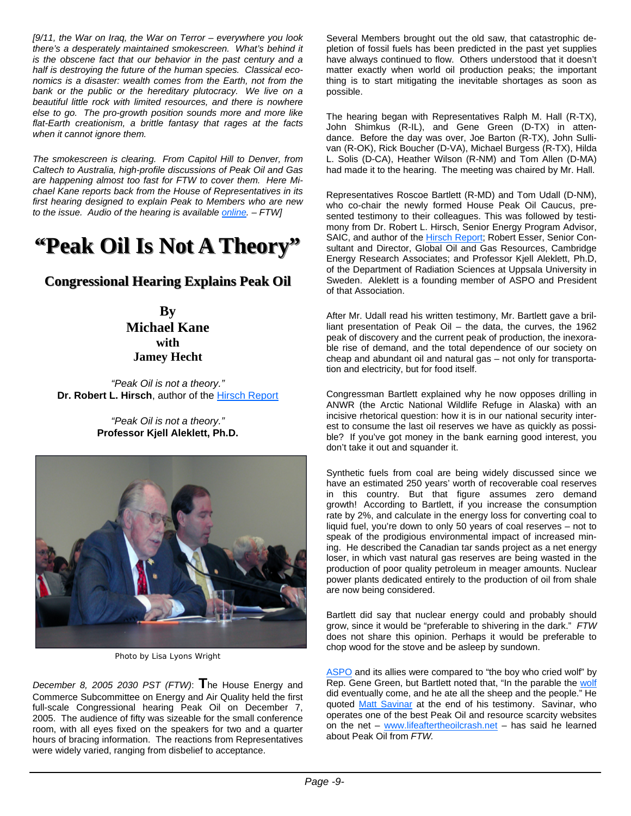*[9/11, the War on Iraq, the War on Terror – everywhere you look there's a desperately maintained smokescreen. What's behind it is the obscene fact that our behavior in the past century and a half is destroying the future of the human species. Classical economics is a disaster: wealth comes from the Earth, not from the bank or the public or the hereditary plutocracy. We live on a beautiful little rock with limited resources, and there is nowhere else to go. The pro-growth position sounds more and more like flat-Earth creationism, a brittle fantasy that rages at the facts when it cannot ignore them.* 

*The smokescreen is clearing. From Capitol Hill to Denver, from Caltech to Australia, high-profile discussions of Peak Oil and Gas are happening almost too fast for FTW to cover them. Here Michael Kane reports back from the House of Representatives in its first hearing designed to explain Peak to Members who are new to the issue. Audio of the hearing is available online. – FTW]*

## **"Peak Oil Is Not A Theory" "Peak Oil Is Not A Theory"**

## **Congressional Hearing Explains Peak Oil Congressional Hearing Explains Peak Oil**

**By Michael Kane with Jamey Hecht**

*"Peak Oil is not a theory."* **Dr. Robert L. Hirsch**, author of the Hirsch Report

> *"Peak Oil is not a theory."* **Professor Kjell Aleklett, Ph.D.**



Photo by Lisa Lyons Wright

*December 8, 2005 2030 PST (FTW)*: **T**he House Energy and Commerce Subcommittee on Energy and Air Quality held the first full-scale Congressional hearing Peak Oil on December 7, 2005. The audience of fifty was sizeable for the small conference room, with all eyes fixed on the speakers for two and a quarter hours of bracing information. The reactions from Representatives were widely varied, ranging from disbelief to acceptance.

Several Members brought out the old saw, that catastrophic depletion of fossil fuels has been predicted in the past yet supplies have always continued to flow. Others understood that it doesn't matter exactly when world oil production peaks; the important thing is to start mitigating the inevitable shortages as soon as possible.

The hearing began with Representatives Ralph M. Hall (R-TX), John Shimkus (R-IL), and Gene Green (D-TX) in attendance. Before the day was over, Joe Barton (R-TX), John Sullivan (R-OK), Rick Boucher (D-VA), Michael Burgess (R-TX), Hilda L. Solis (D-CA), Heather Wilson (R-NM) and Tom Allen (D-MA) had made it to the hearing. The meeting was chaired by Mr. Hall.

Representatives Roscoe Bartlett (R-MD) and Tom Udall (D-NM), who co-chair the newly formed House Peak Oil Caucus, presented testimony to their colleagues. This was followed by testimony from Dr. Robert L. Hirsch, Senior Energy Program Advisor, SAIC, and author of the Hirsch Report; Robert Esser, Senior Consultant and Director, Global Oil and Gas Resources, Cambridge Energy Research Associates; and Professor Kjell Aleklett, Ph.D, of the Department of Radiation Sciences at Uppsala University in Sweden. Aleklett is a founding member of ASPO and President of that Association.

After Mr. Udall read his written testimony, Mr. Bartlett gave a brilliant presentation of Peak Oil – the data, the curves, the 1962 peak of discovery and the current peak of production, the inexorable rise of demand, and the total dependence of our society on cheap and abundant oil and natural gas – not only for transportation and electricity, but for food itself.

Congressman Bartlett explained why he now opposes drilling in ANWR (the Arctic National Wildlife Refuge in Alaska) with an incisive rhetorical question: how it is in our national security interest to consume the last oil reserves we have as quickly as possible? If you've got money in the bank earning good interest, you don't take it out and squander it.

Synthetic fuels from coal are being widely discussed since we have an estimated 250 years' worth of recoverable coal reserves in this country. But that figure assumes zero demand growth! According to Bartlett, if you increase the consumption rate by 2%, and calculate in the energy loss for converting coal to liquid fuel, you're down to only 50 years of coal reserves – not to speak of the prodigious environmental impact of increased mining. He described the Canadian tar sands project as a net energy loser, in which vast natural gas reserves are being wasted in the production of poor quality petroleum in meager amounts. Nuclear power plants dedicated entirely to the production of oil from shale are now being considered.

Bartlett did say that nuclear energy could and probably should grow, since it would be "preferable to shivering in the dark." *FTW*  does not share this opinion. Perhaps it would be preferable to chop wood for the stove and be asleep by sundown.

ASPO and its allies were compared to "the boy who cried wolf" by Rep. Gene Green, but Bartlett noted that, "In the parable the wolf did eventually come, and he ate all the sheep and the people." He quoted Matt Savinar at the end of his testimony. Savinar, who operates one of the best Peak Oil and resource scarcity websites on the net – www.lifeaftertheoilcrash.net – has said he learned about Peak Oil from *FTW.*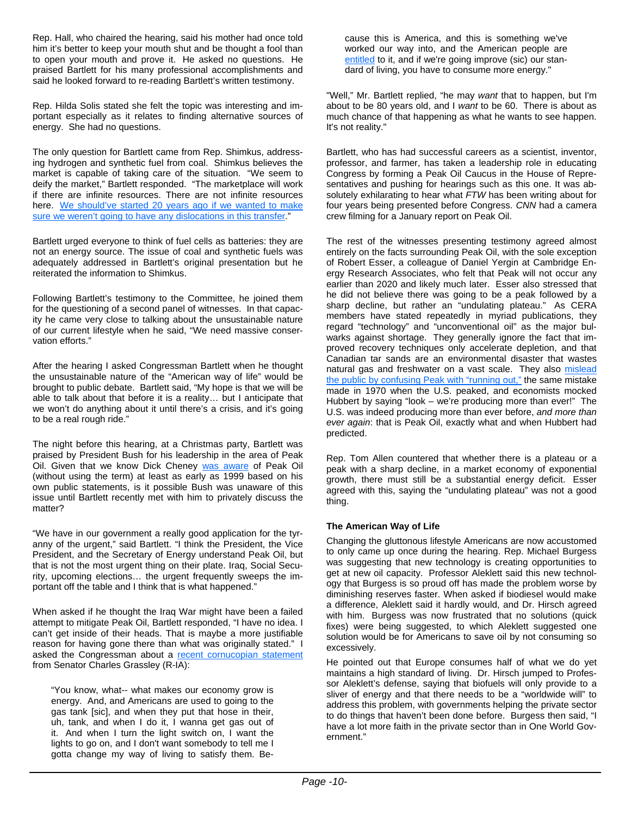Rep. Hall, who chaired the hearing, said his mother had once told him it's better to keep your mouth shut and be thought a fool than to open your mouth and prove it. He asked no questions. He praised Bartlett for his many professional accomplishments and said he looked forward to re-reading Bartlett's written testimony.

Rep. Hilda Solis stated she felt the topic was interesting and important especially as it relates to finding alternative sources of energy. She had no questions.

The only question for Bartlett came from Rep. Shimkus, addressing hydrogen and synthetic fuel from coal. Shimkus believes the market is capable of taking care of the situation. "We seem to deify the market," Bartlett responded. "The marketplace will work if there are infinite resources. There are not infinite resources here. We should've started 20 years ago if we wanted to make sure we weren't going to have any dislocations in this transfer."

Bartlett urged everyone to think of fuel cells as batteries: they are not an energy source. The issue of coal and synthetic fuels was adequately addressed in Bartlett's original presentation but he reiterated the information to Shimkus.

Following Bartlett's testimony to the Committee, he joined them for the questioning of a second panel of witnesses. In that capacity he came very close to talking about the unsustainable nature of our current lifestyle when he said, "We need massive conservation efforts."

After the hearing I asked Congressman Bartlett when he thought the unsustainable nature of the "American way of life" would be brought to public debate. Bartlett said, "My hope is that we will be able to talk about that before it is a reality… but I anticipate that we won't do anything about it until there's a crisis, and it's going to be a real rough ride."

The night before this hearing, at a Christmas party, Bartlett was praised by President Bush for his leadership in the area of Peak Oil. Given that we know Dick Cheney was aware of Peak Oil (without using the term) at least as early as 1999 based on his own public statements, is it possible Bush was unaware of this issue until Bartlett recently met with him to privately discuss the matter?

"We have in our government a really good application for the tyranny of the urgent," said Bartlett. "I think the President, the Vice President, and the Secretary of Energy understand Peak Oil, but that is not the most urgent thing on their plate. Iraq, Social Security, upcoming elections… the urgent frequently sweeps the important off the table and I think that is what happened."

When asked if he thought the Iraq War might have been a failed attempt to mitigate Peak Oil, Bartlett responded, "I have no idea. I can't get inside of their heads. That is maybe a more justifiable reason for having gone there than what was originally stated." I asked the Congressman about a recent cornucopian statement from Senator Charles Grassley (R-IA):

"You know, what-- what makes our economy grow is energy. And, and Americans are used to going to the gas tank [sic], and when they put that hose in their, uh, tank, and when I do it, I wanna get gas out of it. And when I turn the light switch on, I want the lights to go on, and I don't want somebody to tell me I gotta change my way of living to satisfy them. Because this is America, and this is something we've worked our way into, and the American people are entitled to it, and if we're going improve (sic) our standard of living, you have to consume more energy."

"Well," Mr. Bartlett replied, "he may *want* that to happen, but I'm about to be 80 years old, and I *want* to be 60. There is about as much chance of that happening as what he wants to see happen. It's not reality."

Bartlett, who has had successful careers as a scientist, inventor, professor, and farmer, has taken a leadership role in educating Congress by forming a Peak Oil Caucus in the House of Representatives and pushing for hearings such as this one. It was absolutely exhilarating to hear what *FTW* has been writing about for four years being presented before Congress. *CNN* had a camera crew filming for a January report on Peak Oil.

The rest of the witnesses presenting testimony agreed almost entirely on the facts surrounding Peak Oil, with the sole exception of Robert Esser, a colleague of Daniel Yergin at Cambridge Energy Research Associates, who felt that Peak will not occur any earlier than 2020 and likely much later. Esser also stressed that he did not believe there was going to be a peak followed by a sharp decline, but rather an "undulating plateau." As CERA members have stated repeatedly in myriad publications, they regard "technology" and "unconventional oil" as the major bulwarks against shortage. They generally ignore the fact that improved recovery techniques only accelerate depletion, and that Canadian tar sands are an environmental disaster that wastes natural gas and freshwater on a vast scale. They also mislead the public by confusing Peak with "running out," the same mistake made in 1970 when the U.S. peaked, and economists mocked Hubbert by saying "look – we're producing more than ever!" The U.S. was indeed producing more than ever before, *and more than ever again*: that is Peak Oil, exactly what and when Hubbert had predicted.

Rep. Tom Allen countered that whether there is a plateau or a peak with a sharp decline, in a market economy of exponential growth, there must still be a substantial energy deficit. Esser agreed with this, saying the "undulating plateau" was not a good thing.

#### **The American Way of Life**

Changing the gluttonous lifestyle Americans are now accustomed to only came up once during the hearing. Rep. Michael Burgess was suggesting that new technology is creating opportunities to get at new oil capacity. Professor Aleklett said this new technology that Burgess is so proud off has made the problem worse by diminishing reserves faster. When asked if biodiesel would make a difference, Aleklett said it hardly would, and Dr. Hirsch agreed with him. Burgess was now frustrated that no solutions (quick fixes) were being suggested, to which Aleklett suggested one solution would be for Americans to save oil by not consuming so excessively.

He pointed out that Europe consumes half of what we do yet maintains a high standard of living. Dr. Hirsch jumped to Professor Aleklett's defense, saying that biofuels will only provide to a sliver of energy and that there needs to be a "worldwide will" to address this problem, with governments helping the private sector to do things that haven't been done before. Burgess then said, "I have a lot more faith in the private sector than in One World Government."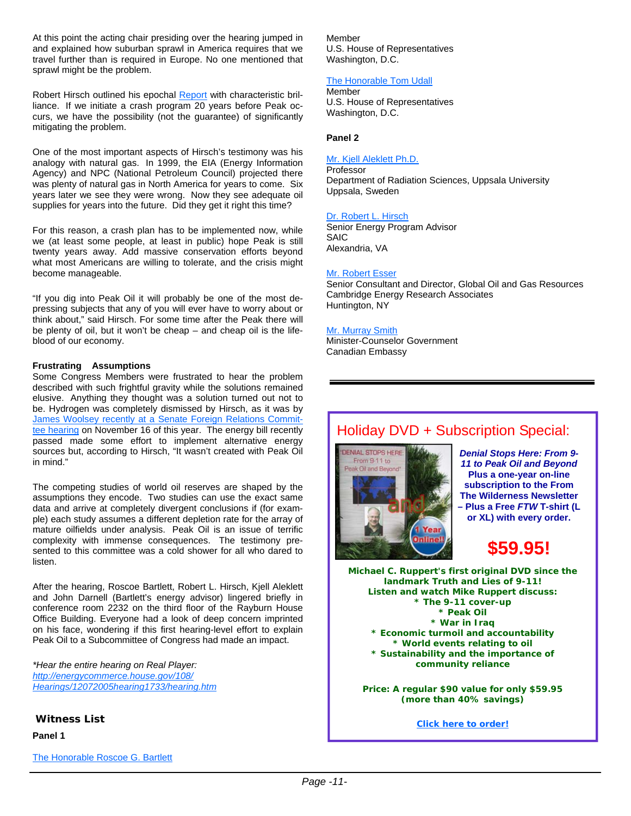At this point the acting chair presiding over the hearing jumped in and explained how suburban sprawl in America requires that we travel further than is required in Europe. No one mentioned that sprawl might be the problem.

Robert Hirsch outlined his epochal Report with characteristic brilliance. If we initiate a crash program 20 years before Peak occurs, we have the possibility (not the guarantee) of significantly mitigating the problem.

One of the most important aspects of Hirsch's testimony was his analogy with natural gas. In 1999, the EIA (Energy Information Agency) and NPC (National Petroleum Council) projected there was plenty of natural gas in North America for years to come. Six years later we see they were wrong. Now they see adequate oil supplies for years into the future. Did they get it right this time?

For this reason, a crash plan has to be implemented now, while we (at least some people, at least in public) hope Peak is still twenty years away. Add massive conservation efforts beyond what most Americans are willing to tolerate, and the crisis might become manageable.

"If you dig into Peak Oil it will probably be one of the most depressing subjects that any of you will ever have to worry about or think about," said Hirsch. For some time after the Peak there will be plenty of oil, but it won't be cheap – and cheap oil is the lifeblood of our economy.

#### **Frustrating Assumptions**

Some Congress Members were frustrated to hear the problem described with such frightful gravity while the solutions remained elusive. Anything they thought was a solution turned out not to be. Hydrogen was completely dismissed by Hirsch, as it was by James Woolsey recently at a Senate Foreign Relations Committee hearing on November 16 of this year. The energy bill recently passed made some effort to implement alternative energy sources but, according to Hirsch, "It wasn't created with Peak Oil in mind."

The competing studies of world oil reserves are shaped by the assumptions they encode. Two studies can use the exact same data and arrive at completely divergent conclusions if (for example) each study assumes a different depletion rate for the array of mature oilfields under analysis. Peak Oil is an issue of terrific complexity with immense consequences. The testimony presented to this committee was a cold shower for all who dared to listen.

After the hearing, Roscoe Bartlett, Robert L. Hirsch, Kjell Aleklett and John Darnell (Bartlett's energy advisor) lingered briefly in conference room 2232 on the third floor of the Rayburn House Office Building. Everyone had a look of deep concern imprinted on his face, wondering if this first hearing-level effort to explain Peak Oil to a Subcommittee of Congress had made an impact.

*\*Hear the entire hearing on Real Player: http://energycommerce.house.gov/108/ Hearings/12072005hearing1733/hearing.htm*

#### **Witness List**

**Panel 1**

Member U.S. House of Representatives Washington, D.C.

#### The Honorable Tom Udall

Member U.S. House of Representatives Washington, D.C.

#### **Panel 2**

#### Mr. Kjell Aleklett Ph.D.

**Professor** Department of Radiation Sciences, Uppsala University Uppsala, Sweden

#### Dr. Robert L. Hirsch

Senior Energy Program Advisor SAIC Alexandria, VA

#### Mr. Robert Esser

Senior Consultant and Director, Global Oil and Gas Resources Cambridge Energy Research Associates Huntington, NY

#### Mr. Murray Smith

Minister-Counselor Government Canadian Embassy

## Holiday DVD + Subscription Special:



*Denial Stops Here: From 9- 11 to Peak Oil and Beyond* **Plus a one-year on-line subscription to the From The Wilderness Newsletter – Plus a Free** *FTW* **T-shirt (L or XL) with every order.** 



**Michael C. Ruppert's first original DVD since the landmark Truth and Lies of 9-11! Listen and watch Mike Ruppert discuss: \* The 9-11 cover-up \* Peak Oil \* War in Iraq \* Economic turmoil and accountability \* World events relating to oil \* Sustainability and the importance of community reliance**

**Price: A regular \$90 value for only \$59.95 (more than 40% savings)** 

**Click here to order!**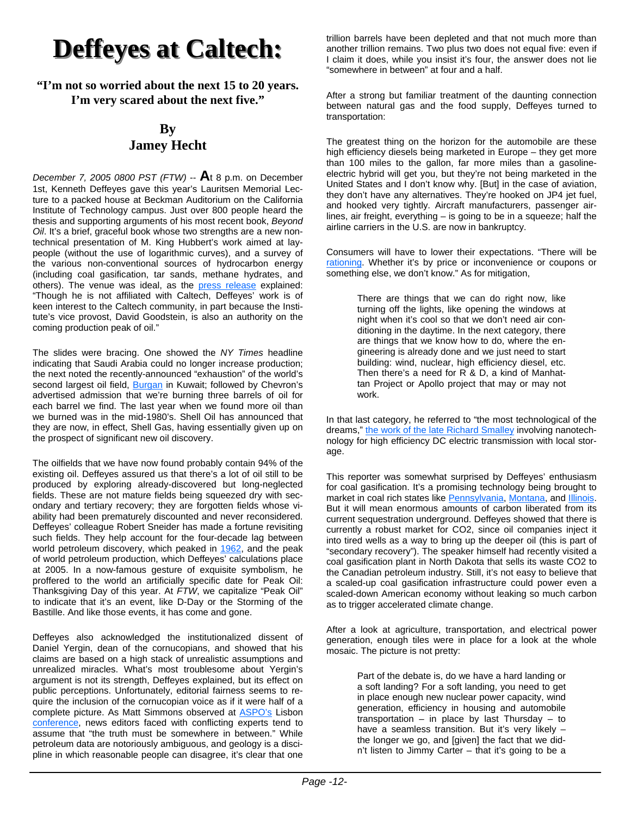## **Deffeyes at Caltech: Deffeyes at Caltech:**

#### **"I'm not so worried about the next 15 to 20 years. I'm very scared about the next five."**

## **By Jamey Hecht**

*December 7, 2005 0800 PST (FTW)* -- **A**t 8 p.m. on December 1st, Kenneth Deffeyes gave this year's Lauritsen Memorial Lecture to a packed house at Beckman Auditorium on the California Institute of Technology campus. Just over 800 people heard the thesis and supporting arguments of his most recent book, *Beyond Oil*. It's a brief, graceful book whose two strengths are a new nontechnical presentation of M. King Hubbert's work aimed at laypeople (without the use of logarithmic curves), and a survey of the various non-conventional sources of hydrocarbon energy (including coal gasification, tar sands, methane hydrates, and others). The venue was ideal, as the press release explained: "Though he is not affiliated with Caltech, Deffeyes' work is of keen interest to the Caltech community, in part because the Institute's vice provost, David Goodstein, is also an authority on the coming production peak of oil."

The slides were bracing. One showed the *NY Times* headline indicating that Saudi Arabia could no longer increase production; the next noted the recently-announced "exhaustion" of the world's second largest oil field, **Burgan** in Kuwait; followed by Chevron's advertised admission that we're burning three barrels of oil for each barrel we find. The last year when we found more oil than we burned was in the mid-1980's. Shell Oil has announced that they are now, in effect, Shell Gas, having essentially given up on the prospect of significant new oil discovery.

The oilfields that we have now found probably contain 94% of the existing oil. Deffeyes assured us that there's a lot of oil still to be produced by exploring already-discovered but long-neglected fields. These are not mature fields being squeezed dry with secondary and tertiary recovery; they are forgotten fields whose viability had been prematurely discounted and never reconsidered. Deffeyes' colleague Robert Sneider has made a fortune revisiting such fields. They help account for the four-decade lag between world petroleum discovery, which peaked in 1962, and the peak of world petroleum production, which Deffeyes' calculations place at 2005. In a now-famous gesture of exquisite symbolism, he proffered to the world an artificially specific date for Peak Oil: Thanksgiving Day of this year. At *FTW*, we capitalize "Peak Oil" to indicate that it's an event, like D-Day or the Storming of the Bastille. And like those events, it has come and gone.

Deffeyes also acknowledged the institutionalized dissent of Daniel Yergin, dean of the cornucopians, and showed that his claims are based on a high stack of unrealistic assumptions and unrealized miracles. What's most troublesome about Yergin's argument is not its strength, Deffeyes explained, but its effect on public perceptions. Unfortunately, editorial fairness seems to require the inclusion of the cornucopian voice as if it were half of a complete picture. As Matt Simmons observed at ASPO's Lisbon conference, news editors faced with conflicting experts tend to assume that "the truth must be somewhere in between." While petroleum data are notoriously ambiguous, and geology is a discipline in which reasonable people can disagree, it's clear that one trillion barrels have been depleted and that not much more than another trillion remains. Two plus two does not equal five: even if I claim it does, while you insist it's four, the answer does not lie "somewhere in between" at four and a half.

After a strong but familiar treatment of the daunting connection between natural gas and the food supply, Deffeyes turned to transportation:

The greatest thing on the horizon for the automobile are these high efficiency diesels being marketed in Europe – they get more than 100 miles to the gallon, far more miles than a gasolineelectric hybrid will get you, but they're not being marketed in the United States and I don't know why. [But] in the case of aviation, they don't have any alternatives. They're hooked on JP4 jet fuel, and hooked very tightly. Aircraft manufacturers, passenger airlines, air freight, everything – is going to be in a squeeze; half the airline carriers in the U.S. are now in bankruptcy.

Consumers will have to lower their expectations. "There will be rationing. Whether it's by price or inconvenience or coupons or something else, we don't know." As for mitigation,

> There are things that we can do right now, like turning off the lights, like opening the windows at night when it's cool so that we don't need air conditioning in the daytime. In the next category, there are things that we know how to do, where the engineering is already done and we just need to start building: wind, nuclear, high efficiency diesel, etc. Then there's a need for R & D, a kind of Manhattan Project or Apollo project that may or may not work.

In that last category, he referred to "the most technological of the dreams," the work of the late Richard Smalley involving nanotechnology for high efficiency DC electric transmission with local storage.

This reporter was somewhat surprised by Deffeyes' enthusiasm for coal gasification. It's a promising technology being brought to market in coal rich states like Pennsylvania, Montana, and Illinois. But it will mean enormous amounts of carbon liberated from its current sequestration underground. Deffeyes showed that there is currently a robust market for CO2, since oil companies inject it into tired wells as a way to bring up the deeper oil (this is part of "secondary recovery"). The speaker himself had recently visited a coal gasification plant in North Dakota that sells its waste CO2 to the Canadian petroleum industry. Still, it's not easy to believe that a scaled-up coal gasification infrastructure could power even a scaled-down American economy without leaking so much carbon as to trigger accelerated climate change.

After a look at agriculture, transportation, and electrical power generation, enough tiles were in place for a look at the whole mosaic. The picture is not pretty:

> Part of the debate is, do we have a hard landing or a soft landing? For a soft landing, you need to get in place enough new nuclear power capacity, wind generation, efficiency in housing and automobile  $transportion - in place by last Thursday - to$ have a seamless transition. But it's very likely the longer we go, and [given] the fact that we didn't listen to Jimmy Carter – that it's going to be a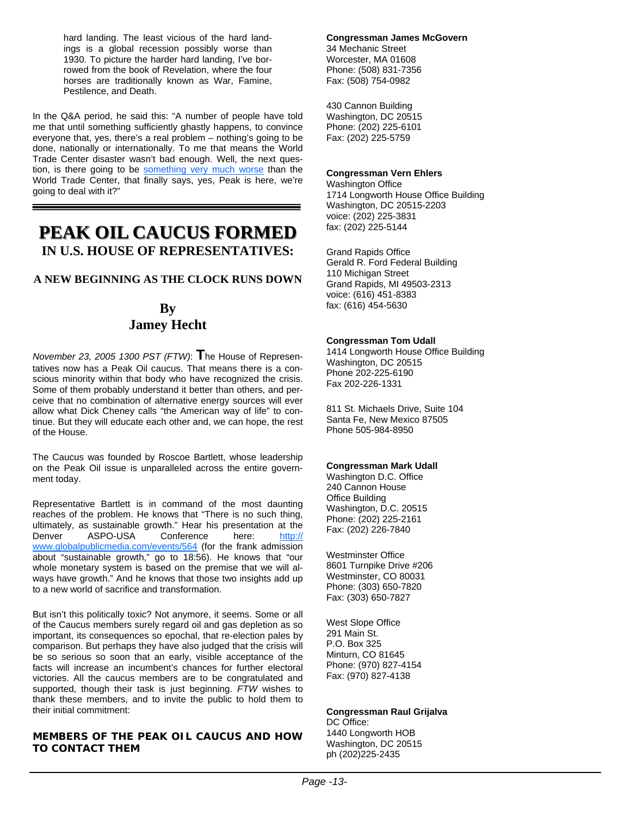hard landing. The least vicious of the hard landings is a global recession possibly worse than 1930. To picture the harder hard landing, I've borrowed from the book of Revelation, where the four horses are traditionally known as War, Famine, Pestilence, and Death.

In the Q&A period, he said this: "A number of people have told me that until something sufficiently ghastly happens, to convince everyone that, yes, there's a real problem – nothing's going to be done, nationally or internationally. To me that means the World Trade Center disaster wasn't bad enough. Well, the next question, is there going to be something very much worse than the World Trade Center, that finally says, yes, Peak is here, we're going to deal with it?"

## **PEAK OIL CAUCUS FORMED IN U.S. HOUSE OF REPRESENTATIVES:**

#### **A NEW BEGINNING AS THE CLOCK RUNS DOWN**

### **By Jamey Hecht**

*November 23, 2005 1300 PST (FTW)*: **T**he House of Representatives now has a Peak Oil caucus. That means there is a conscious minority within that body who have recognized the crisis. Some of them probably understand it better than others, and perceive that no combination of alternative energy sources will ever allow what Dick Cheney calls "the American way of life" to continue. But they will educate each other and, we can hope, the rest of the House.

The Caucus was founded by Roscoe Bartlett, whose leadership on the Peak Oil issue is unparalleled across the entire government today.

Representative Bartlett is in command of the most daunting reaches of the problem. He knows that "There is no such thing, ultimately, as sustainable growth." Hear his presentation at the Denver ASPO-USA Conference here: http:// www.globalpublicmedia.com/events/564 (for the frank admission about "sustainable growth," go to 18:56). He knows that "our whole monetary system is based on the premise that we will always have growth." And he knows that those two insights add up to a new world of sacrifice and transformation.

But isn't this politically toxic? Not anymore, it seems. Some or all of the Caucus members surely regard oil and gas depletion as so important, its consequences so epochal, that re-election pales by comparison. But perhaps they have also judged that the crisis will be so serious so soon that an early, visible acceptance of the facts will increase an incumbent's chances for further electoral victories. All the caucus members are to be congratulated and supported, though their task is just beginning. *FTW* wishes to thank these members, and to invite the public to hold them to their initial commitment:

#### **MEMBERS OF THE PEAK OIL CAUCUS AND HOW TO CONTACT THEM**

#### **Congressman James McGovern** 34 Mechanic Street Worcester, MA 01608

Phone: (508) 831-7356 Fax: (508) 754-0982

430 Cannon Building Washington, DC 20515 Phone: (202) 225-6101 Fax: (202) 225-5759

#### **Congressman Vern Ehlers**

Washington Office 1714 Longworth House Office Building Washington, DC 20515-2203 voice: (202) 225-3831 fax: (202) 225-5144

Grand Rapids Office Gerald R. Ford Federal Building 110 Michigan Street Grand Rapids, MI 49503-2313 voice: (616) 451-8383 fax: (616) 454-5630

#### **Congressman Tom Udall**

1414 Longworth House Office Building Washington, DC 20515 Phone 202-225-6190 Fax 202-226-1331

811 St. Michaels Drive, Suite 104 Santa Fe, New Mexico 87505 Phone 505-984-8950

#### **Congressman Mark Udall**

Washington D.C. Office 240 Cannon House Office Building Washington, D.C. 20515 Phone: (202) 225-2161 Fax: (202) 226-7840

Westminster Office 8601 Turnpike Drive #206 Westminster, CO 80031 Phone: (303) 650-7820 Fax: (303) 650-7827

West Slope Office 291 Main St. P.O. Box 325 Minturn, CO 81645 Phone: (970) 827-4154 Fax: (970) 827-4138

#### **Congressman Raul Grijalva**

DC Office: 1440 Longworth HOB Washington, DC 20515 ph (202)225-2435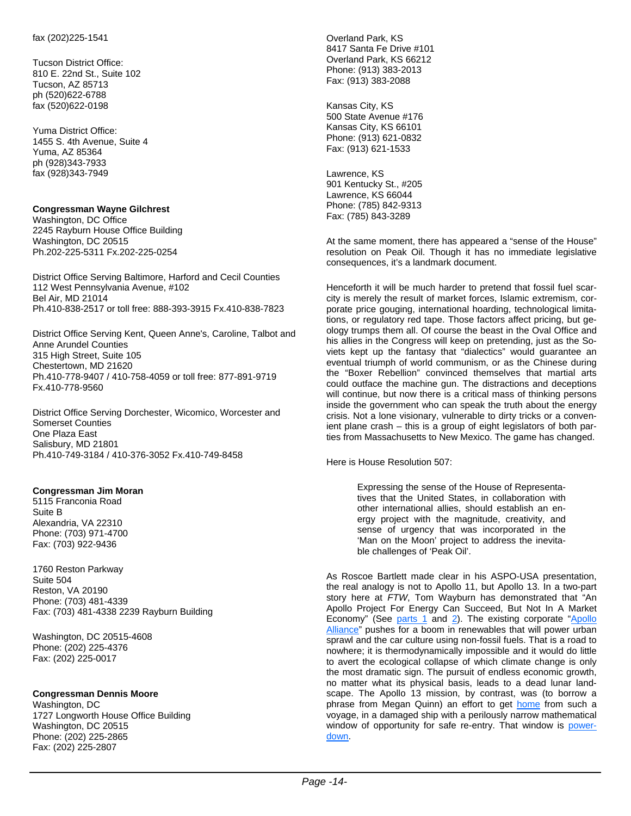Tucson District Office: 810 E. 22nd St., Suite 102 Tucson, AZ 85713 ph (520)622-6788 fax (520)622-0198

Yuma District Office: 1455 S. 4th Avenue, Suite 4 Yuma, AZ 85364 ph (928)343-7933 fax (928)343-7949

#### **Congressman Wayne Gilchrest**

Washington, DC Office 2245 Rayburn House Office Building Washington, DC 20515 Ph.202-225-5311 Fx.202-225-0254

District Office Serving Baltimore, Harford and Cecil Counties 112 West Pennsylvania Avenue, #102 Bel Air, MD 21014 Ph.410-838-2517 or toll free: 888-393-3915 Fx.410-838-7823

District Office Serving Kent, Queen Anne's, Caroline, Talbot and Anne Arundel Counties 315 High Street, Suite 105 Chestertown, MD 21620 Ph.410-778-9407 / 410-758-4059 or toll free: 877-891-9719 Fx.410-778-9560

District Office Serving Dorchester, Wicomico, Worcester and Somerset Counties One Plaza East Salisbury, MD 21801 Ph.410-749-3184 / 410-376-3052 Fx.410-749-8458

#### **Congressman Jim Moran**

5115 Franconia Road Suite B Alexandria, VA 22310 Phone: (703) 971-4700 Fax: (703) 922-9436

1760 Reston Parkway Suite 504 Reston, VA 20190 Phone: (703) 481-4339 Fax: (703) 481-4338 2239 Rayburn Building

Washington, DC 20515-4608 Phone: (202) 225-4376 Fax: (202) 225-0017

#### **Congressman Dennis Moore**

Washington, DC 1727 Longworth House Office Building Washington, DC 20515 Phone: (202) 225-2865 Fax: (202) 225-2807

Overland Park, KS 8417 Santa Fe Drive #101 Overland Park, KS 66212 Phone: (913) 383-2013 Fax: (913) 383-2088

Kansas City, KS 500 State Avenue #176 Kansas City, KS 66101 Phone: (913) 621-0832 Fax: (913) 621-1533

Lawrence, KS 901 Kentucky St., #205 Lawrence, KS 66044 Phone: (785) 842-9313 Fax: (785) 843-3289

At the same moment, there has appeared a "sense of the House" resolution on Peak Oil. Though it has no immediate legislative consequences, it's a landmark document.

Henceforth it will be much harder to pretend that fossil fuel scarcity is merely the result of market forces, Islamic extremism, corporate price gouging, international hoarding, technological limitations, or regulatory red tape. Those factors affect pricing, but geology trumps them all. Of course the beast in the Oval Office and his allies in the Congress will keep on pretending, just as the Soviets kept up the fantasy that "dialectics" would guarantee an eventual triumph of world communism, or as the Chinese during the "Boxer Rebellion" convinced themselves that martial arts could outface the machine gun. The distractions and deceptions will continue, but now there is a critical mass of thinking persons inside the government who can speak the truth about the energy crisis. Not a lone visionary, vulnerable to dirty tricks or a convenient plane crash – this is a group of eight legislators of both parties from Massachusetts to New Mexico. The game has changed.

Here is House Resolution 507:

Expressing the sense of the House of Representatives that the United States, in collaboration with other international allies, should establish an energy project with the magnitude, creativity, and sense of urgency that was incorporated in the 'Man on the Moon' project to address the inevitable challenges of 'Peak Oil'.

As Roscoe Bartlett made clear in his ASPO-USA presentation, the real analogy is not to Apollo 11, but Apollo 13. In a two-part story here at *FTW*, Tom Wayburn has demonstrated that "An Apollo Project For Energy Can Succeed, But Not In A Market Economy" (See parts 1 and 2). The existing corporate "Apollo Alliance" pushes for a boom in renewables that will power urban sprawl and the car culture using non-fossil fuels. That is a road to nowhere; it is thermodynamically impossible and it would do little to avert the ecological collapse of which climate change is only the most dramatic sign. The pursuit of endless economic growth, no matter what its physical basis, leads to a dead lunar landscape. The Apollo 13 mission, by contrast, was (to borrow a phrase from Megan Quinn) an effort to get home from such a voyage, in a damaged ship with a perilously narrow mathematical window of opportunity for safe re-entry. That window is powerdown.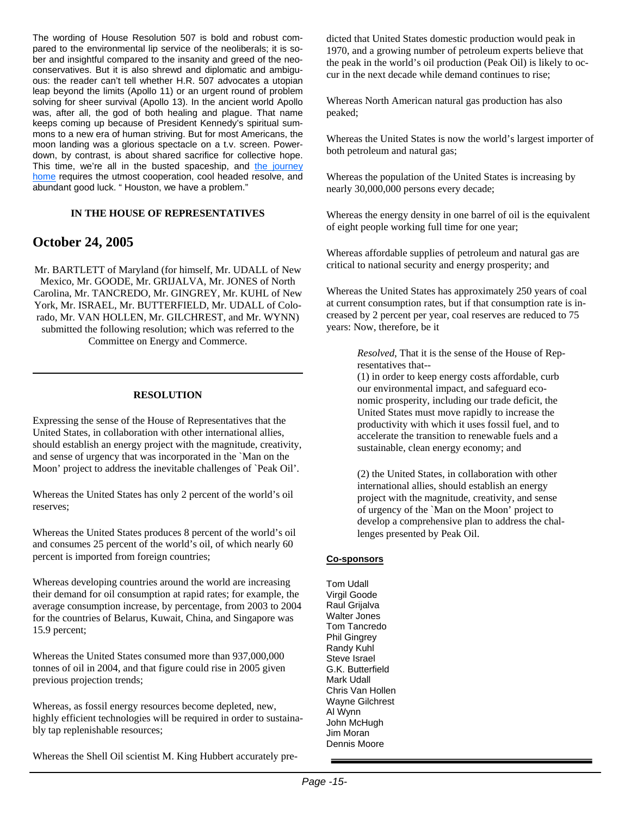The wording of House Resolution 507 is bold and robust compared to the environmental lip service of the neoliberals; it is sober and insightful compared to the insanity and greed of the neoconservatives. But it is also shrewd and diplomatic and ambiguous: the reader can't tell whether H.R. 507 advocates a utopian leap beyond the limits (Apollo 11) or an urgent round of problem solving for sheer survival (Apollo 13). In the ancient world Apollo was, after all, the god of both healing and plague. That name keeps coming up because of President Kennedy's spiritual summons to a new era of human striving. But for most Americans, the moon landing was a glorious spectacle on a t.v. screen. Powerdown, by contrast, is about shared sacrifice for collective hope. This time, we're all in the busted spaceship, and the journey home requires the utmost cooperation, cool headed resolve, and abundant good luck. " Houston, we have a problem."

#### **IN THE HOUSE OF REPRESENTATIVES**

#### **October 24, 2005**

Mr. BARTLETT of Maryland (for himself, Mr. UDALL of New Mexico, Mr. GOODE, Mr. GRIJALVA, Mr. JONES of North Carolina, Mr. TANCREDO, Mr. GINGREY, Mr. KUHL of New York, Mr. ISRAEL, Mr. BUTTERFIELD, Mr. UDALL of Colorado, Mr. VAN HOLLEN, Mr. GILCHREST, and Mr. WYNN) submitted the following resolution; which was referred to the Committee on Energy and Commerce.

#### **RESOLUTION**

Expressing the sense of the House of Representatives that the United States, in collaboration with other international allies, should establish an energy project with the magnitude, creativity, and sense of urgency that was incorporated in the `Man on the Moon' project to address the inevitable challenges of `Peak Oil'.

Whereas the United States has only 2 percent of the world's oil reserves;

Whereas the United States produces 8 percent of the world's oil and consumes 25 percent of the world's oil, of which nearly 60 percent is imported from foreign countries;

Whereas developing countries around the world are increasing their demand for oil consumption at rapid rates; for example, the average consumption increase, by percentage, from 2003 to 2004 for the countries of Belarus, Kuwait, China, and Singapore was 15.9 percent;

Whereas the United States consumed more than 937,000,000 tonnes of oil in 2004, and that figure could rise in 2005 given previous projection trends;

Whereas, as fossil energy resources become depleted, new, highly efficient technologies will be required in order to sustainably tap replenishable resources;

Whereas the Shell Oil scientist M. King Hubbert accurately pre-

dicted that United States domestic production would peak in 1970, and a growing number of petroleum experts believe that the peak in the world's oil production (Peak Oil) is likely to occur in the next decade while demand continues to rise;

Whereas North American natural gas production has also peaked;

Whereas the United States is now the world's largest importer of both petroleum and natural gas;

Whereas the population of the United States is increasing by nearly 30,000,000 persons every decade;

Whereas the energy density in one barrel of oil is the equivalent of eight people working full time for one year;

Whereas affordable supplies of petroleum and natural gas are critical to national security and energy prosperity; and

Whereas the United States has approximately 250 years of coal at current consumption rates, but if that consumption rate is increased by 2 percent per year, coal reserves are reduced to 75 years: Now, therefore, be it

> *Resolved*, That it is the sense of the House of Representatives that--

(1) in order to keep energy costs affordable, curb our environmental impact, and safeguard economic prosperity, including our trade deficit, the United States must move rapidly to increase the productivity with which it uses fossil fuel, and to accelerate the transition to renewable fuels and a sustainable, clean energy economy; and

(2) the United States, in collaboration with other international allies, should establish an energy project with the magnitude, creativity, and sense of urgency of the `Man on the Moon' project to develop a comprehensive plan to address the challenges presented by Peak Oil.

#### **Co-sponsors**

Tom Udall Virgil Goode Raul Grijalva Walter Jones Tom Tancredo Phil Gingrey Randy Kuhl Steve Israel G.K. Butterfield Mark Udall Chris Van Hollen Wayne Gilchrest Al Wynn John McHugh Jim Moran Dennis Moore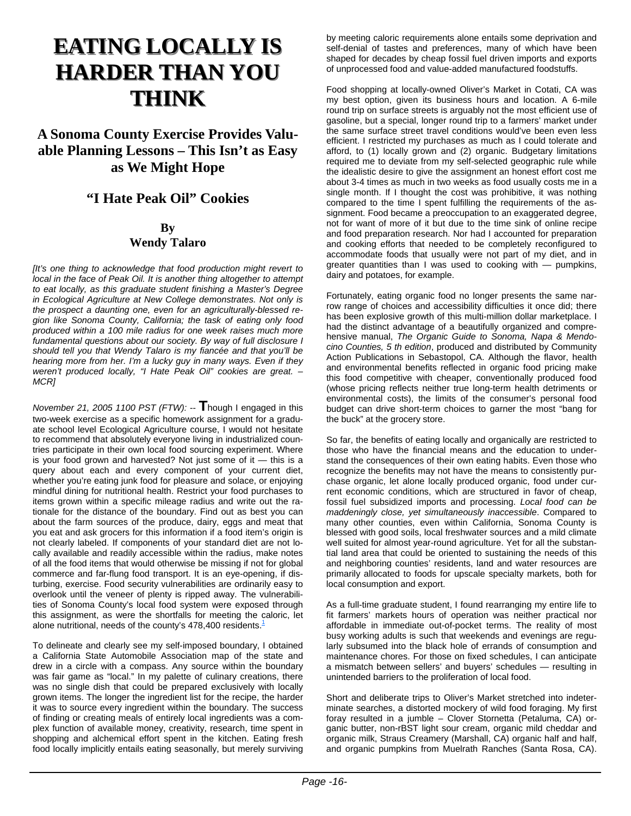## **EATING LOCALLY IS HARDER THAN YOU THINK**

## **A Sonoma County Exercise Provides Valuable Planning Lessons – This Isn't as Easy as We Might Hope**

## **"I Hate Peak Oil" Cookies**

#### **By Wendy Talaro**

*[It's one thing to acknowledge that food production might revert to local in the face of Peak Oil. It is another thing altogether to attempt to eat locally, as this graduate student finishing a Master's Degree in Ecological Agriculture at New College demonstrates. Not only is the prospect a daunting one, even for an agriculturally-blessed region like Sonoma County, California; the task of eating only food produced within a 100 mile radius for one week raises much more fundamental questions about our society. By way of full disclosure I should tell you that Wendy Talaro is my fiancée and that you'll be hearing more from her. I'm a lucky guy in many ways. Even if they weren't produced locally, "I Hate Peak Oil" cookies are great. – MCR]*

*November 21, 2005 1100 PST (FTW):* -- **T**hough I engaged in this two-week exercise as a specific homework assignment for a graduate school level Ecological Agriculture course, I would not hesitate to recommend that absolutely everyone living in industrialized countries participate in their own local food sourcing experiment. Where is your food grown and harvested? Not just some of it — this is a query about each and every component of your current diet, whether you're eating junk food for pleasure and solace, or enjoying mindful dining for nutritional health. Restrict your food purchases to items grown within a specific mileage radius and write out the rationale for the distance of the boundary. Find out as best you can about the farm sources of the produce, dairy, eggs and meat that you eat and ask grocers for this information if a food item's origin is not clearly labeled. If components of your standard diet are not locally available and readily accessible within the radius, make notes of all the food items that would otherwise be missing if not for global commerce and far-flung food transport. It is an eye-opening, if disturbing, exercise. Food security vulnerabilities are ordinarily easy to overlook until the veneer of plenty is ripped away. The vulnerabilities of Sonoma County's local food system were exposed through this assignment, as were the shortfalls for meeting the caloric, let alone nutritional, needs of the county's 478,400 residents.<sup>1</sup>

To delineate and clearly see my self-imposed boundary, I obtained a California State Automobile Association map of the state and drew in a circle with a compass. Any source within the boundary was fair game as "local." In my palette of culinary creations, there was no single dish that could be prepared exclusively with locally grown items. The longer the ingredient list for the recipe, the harder it was to source every ingredient within the boundary. The success of finding or creating meals of entirely local ingredients was a complex function of available money, creativity, research, time spent in shopping and alchemical effort spent in the kitchen. Eating fresh food locally implicitly entails eating seasonally, but merely surviving by meeting caloric requirements alone entails some deprivation and self-denial of tastes and preferences, many of which have been shaped for decades by cheap fossil fuel driven imports and exports of unprocessed food and value-added manufactured foodstuffs.

Food shopping at locally-owned Oliver's Market in Cotati, CA was my best option, given its business hours and location. A 6-mile round trip on surface streets is arguably not the most efficient use of gasoline, but a special, longer round trip to a farmers' market under the same surface street travel conditions would've been even less efficient. I restricted my purchases as much as I could tolerate and afford, to (1) locally grown and (2) organic. Budgetary limitations required me to deviate from my self-selected geographic rule while the idealistic desire to give the assignment an honest effort cost me about 3-4 times as much in two weeks as food usually costs me in a single month. If I thought the cost was prohibitive, it was nothing compared to the time I spent fulfilling the requirements of the assignment. Food became a preoccupation to an exaggerated degree, not for want of more of it but due to the time sink of online recipe and food preparation research. Nor had I accounted for preparation and cooking efforts that needed to be completely reconfigured to accommodate foods that usually were not part of my diet, and in greater quantities than I was used to cooking with — pumpkins, dairy and potatoes, for example.

Fortunately, eating organic food no longer presents the same narrow range of choices and accessibility difficulties it once did; there has been explosive growth of this multi-million dollar marketplace. I had the distinct advantage of a beautifully organized and comprehensive manual, *The Organic Guide to Sonoma, Napa & Mendocino Counties, 5 th edition*, produced and distributed by Community Action Publications in Sebastopol, CA. Although the flavor, health and environmental benefits reflected in organic food pricing make this food competitive with cheaper, conventionally produced food (whose pricing reflects neither true long-term health detriments or environmental costs), the limits of the consumer's personal food budget can drive short-term choices to garner the most "bang for the buck" at the grocery store.

So far, the benefits of eating locally and organically are restricted to those who have the financial means and the education to understand the consequences of their own eating habits. Even those who recognize the benefits may not have the means to consistently purchase organic, let alone locally produced organic, food under current economic conditions, which are structured in favor of cheap, fossil fuel subsidized imports and processing. *Local food can be maddeningly close, yet simultaneously inaccessible*. Compared to many other counties, even within California, Sonoma County is blessed with good soils, local freshwater sources and a mild climate well suited for almost year-round agriculture. Yet for all the substantial land area that could be oriented to sustaining the needs of this and neighboring counties' residents, land and water resources are primarily allocated to foods for upscale specialty markets, both for local consumption and export.

As a full-time graduate student, I found rearranging my entire life to fit farmers' markets hours of operation was neither practical nor affordable in immediate out-of-pocket terms. The reality of most busy working adults is such that weekends and evenings are regularly subsumed into the black hole of errands of consumption and maintenance chores. For those on fixed schedules, I can anticipate a mismatch between sellers' and buyers' schedules — resulting in unintended barriers to the proliferation of local food.

Short and deliberate trips to Oliver's Market stretched into indeterminate searches, a distorted mockery of wild food foraging. My first foray resulted in a jumble – Clover Stornetta (Petaluma, CA) organic butter, non-rBST light sour cream, organic mild cheddar and organic milk, Straus Creamery (Marshall, CA) organic half and half, and organic pumpkins from Muelrath Ranches (Santa Rosa, CA).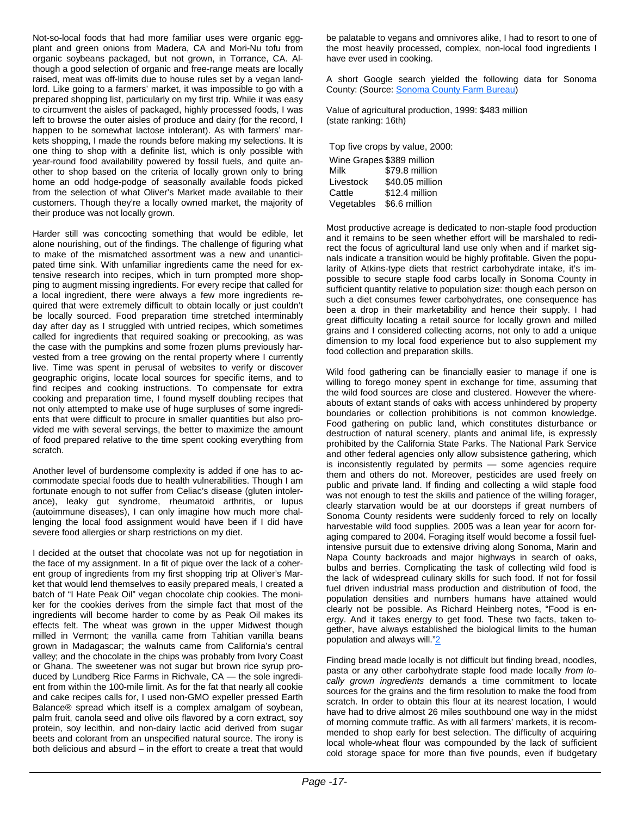Not-so-local foods that had more familiar uses were organic eggplant and green onions from Madera, CA and Mori-Nu tofu from organic soybeans packaged, but not grown, in Torrance, CA. Although a good selection of organic and free-range meats are locally raised, meat was off-limits due to house rules set by a vegan landlord. Like going to a farmers' market, it was impossible to go with a prepared shopping list, particularly on my first trip. While it was easy to circumvent the aisles of packaged, highly processed foods, I was left to browse the outer aisles of produce and dairy (for the record, I happen to be somewhat lactose intolerant). As with farmers' markets shopping, I made the rounds before making my selections. It is one thing to shop with a definite list, which is only possible with year-round food availability powered by fossil fuels, and quite another to shop based on the criteria of locally grown only to bring home an odd hodge-podge of seasonally available foods picked from the selection of what Oliver's Market made available to their customers. Though they're a locally owned market, the majority of their produce was not locally grown.

Harder still was concocting something that would be edible, let alone nourishing, out of the findings. The challenge of figuring what to make of the mismatched assortment was a new and unanticipated time sink. With unfamiliar ingredients came the need for extensive research into recipes, which in turn prompted more shopping to augment missing ingredients. For every recipe that called for a local ingredient, there were always a few more ingredients required that were extremely difficult to obtain locally or just couldn't be locally sourced. Food preparation time stretched interminably day after day as I struggled with untried recipes, which sometimes called for ingredients that required soaking or precooking, as was the case with the pumpkins and some frozen plums previously harvested from a tree growing on the rental property where I currently live. Time was spent in perusal of websites to verify or discover geographic origins, locate local sources for specific items, and to find recipes and cooking instructions. To compensate for extra cooking and preparation time, I found myself doubling recipes that not only attempted to make use of huge surpluses of some ingredients that were difficult to procure in smaller quantities but also provided me with several servings, the better to maximize the amount of food prepared relative to the time spent cooking everything from scratch.

Another level of burdensome complexity is added if one has to accommodate special foods due to health vulnerabilities. Though I am fortunate enough to not suffer from Celiac's disease (gluten intolerance), leaky gut syndrome, rheumatoid arthritis, or lupus (autoimmune diseases), I can only imagine how much more challenging the local food assignment would have been if I did have severe food allergies or sharp restrictions on my diet.

I decided at the outset that chocolate was not up for negotiation in the face of my assignment. In a fit of pique over the lack of a coherent group of ingredients from my first shopping trip at Oliver's Market that would lend themselves to easily prepared meals, I created a batch of "I Hate Peak Oil" vegan chocolate chip cookies. The moniker for the cookies derives from the simple fact that most of the ingredients will become harder to come by as Peak Oil makes its effects felt. The wheat was grown in the upper Midwest though milled in Vermont; the vanilla came from Tahitian vanilla beans grown in Madagascar; the walnuts came from California's central valley; and the chocolate in the chips was probably from Ivory Coast or Ghana. The sweetener was not sugar but brown rice syrup produced by Lundberg Rice Farms in Richvale, CA — the sole ingredient from within the 100-mile limit. As for the fat that nearly all cookie and cake recipes calls for, I used non-GMO expeller pressed Earth Balance® spread which itself is a complex amalgam of soybean, palm fruit, canola seed and olive oils flavored by a corn extract, soy protein, soy lecithin, and non-dairy lactic acid derived from sugar beets and colorant from an unspecified natural source. The irony is both delicious and absurd – in the effort to create a treat that would

be palatable to vegans and omnivores alike, I had to resort to one of the most heavily processed, complex, non-local food ingredients I have ever used in cooking.

A short Google search yielded the following data for Sonoma County: (Source: Sonoma County Farm Bureau)

Value of agricultural production, 1999: \$483 million (state ranking: 16th)

Top five crops by value, 2000:

| Wine Grapes \$389 million |                 |
|---------------------------|-----------------|
| Milk                      | \$79.8 million  |
| Livestock                 | \$40.05 million |
| Cattle                    | \$12.4 million  |
| Vegetables                | \$6.6 million   |

Most productive acreage is dedicated to non-staple food production and it remains to be seen whether effort will be marshaled to redirect the focus of agricultural land use only when and if market signals indicate a transition would be highly profitable. Given the popularity of Atkins-type diets that restrict carbohydrate intake, it's impossible to secure staple food carbs locally in Sonoma County in sufficient quantity relative to population size: though each person on such a diet consumes fewer carbohydrates, one consequence has been a drop in their marketability and hence their supply. I had great difficulty locating a retail source for locally grown and milled grains and I considered collecting acorns, not only to add a unique dimension to my local food experience but to also supplement my food collection and preparation skills.

Wild food gathering can be financially easier to manage if one is willing to forego money spent in exchange for time, assuming that the wild food sources are close and clustered. However the whereabouts of extant stands of oaks with access unhindered by property boundaries or collection prohibitions is not common knowledge. Food gathering on public land, which constitutes disturbance or destruction of natural scenery, plants and animal life, is expressly prohibited by the California State Parks. The National Park Service and other federal agencies only allow subsistence gathering, which is inconsistently regulated by permits — some agencies require them and others do not. Moreover, pesticides are used freely on public and private land. If finding and collecting a wild staple food was not enough to test the skills and patience of the willing forager, clearly starvation would be at our doorsteps if great numbers of Sonoma County residents were suddenly forced to rely on locally harvestable wild food supplies. 2005 was a lean year for acorn foraging compared to 2004. Foraging itself would become a fossil fuelintensive pursuit due to extensive driving along Sonoma, Marin and Napa County backroads and major highways in search of oaks, bulbs and berries. Complicating the task of collecting wild food is the lack of widespread culinary skills for such food. If not for fossil fuel driven industrial mass production and distribution of food, the population densities and numbers humans have attained would clearly not be possible. As Richard Heinberg notes, "Food is energy. And it takes energy to get food. These two facts, taken together, have always established the biological limits to the human population and always will."2

Finding bread made locally is not difficult but finding bread, noodles, pasta or any other carbohydrate staple food made locally *from locally grown ingredients* demands a time commitment to locate sources for the grains and the firm resolution to make the food from scratch. In order to obtain this flour at its nearest location, I would have had to drive almost 26 miles southbound one way in the midst of morning commute traffic. As with all farmers' markets, it is recommended to shop early for best selection. The difficulty of acquiring local whole-wheat flour was compounded by the lack of sufficient cold storage space for more than five pounds, even if budgetary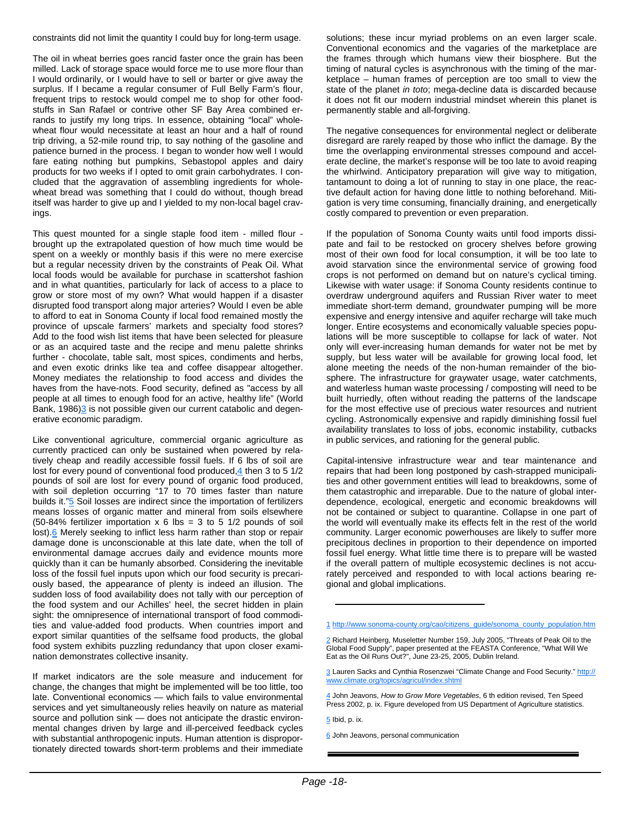constraints did not limit the quantity I could buy for long-term usage.

The oil in wheat berries goes rancid faster once the grain has been milled. Lack of storage space would force me to use more flour than I would ordinarily, or I would have to sell or barter or give away the surplus. If I became a regular consumer of Full Belly Farm's flour, frequent trips to restock would compel me to shop for other foodstuffs in San Rafael or contrive other SF Bay Area combined errands to justify my long trips. In essence, obtaining "local" wholewheat flour would necessitate at least an hour and a half of round trip driving, a 52-mile round trip, to say nothing of the gasoline and patience burned in the process. I began to wonder how well I would fare eating nothing but pumpkins, Sebastopol apples and dairy products for two weeks if I opted to omit grain carbohydrates. I concluded that the aggravation of assembling ingredients for wholewheat bread was something that I could do without, though bread itself was harder to give up and I yielded to my non-local bagel cravings.

This quest mounted for a single staple food item - milled flour brought up the extrapolated question of how much time would be spent on a weekly or monthly basis if this were no mere exercise but a regular necessity driven by the constraints of Peak Oil. What local foods would be available for purchase in scattershot fashion and in what quantities, particularly for lack of access to a place to grow or store most of my own? What would happen if a disaster disrupted food transport along major arteries? Would I even be able to afford to eat in Sonoma County if local food remained mostly the province of upscale farmers' markets and specialty food stores? Add to the food wish list items that have been selected for pleasure or as an acquired taste and the recipe and menu palette shrinks further - chocolate, table salt, most spices, condiments and herbs, and even exotic drinks like tea and coffee disappear altogether. Money mediates the relationship to food access and divides the haves from the have-nots. Food security, defined as "access by all people at all times to enough food for an active, healthy life" (World Bank, 1986)<sup>3</sup> is not possible given our current catabolic and degenerative economic paradigm.

Like conventional agriculture, commercial organic agriculture as currently practiced can only be sustained when powered by relatively cheap and readily accessible fossil fuels. If 6 lbs of soil are lost for every pound of conventional food produced, $\frac{4}{3}$  then 3 to 5 1/2 pounds of soil are lost for every pound of organic food produced, with soil depletion occurring "17 to 70 times faster than nature builds it."<sup>5</sup> Soil losses are indirect since the importation of fertilizers means losses of organic matter and mineral from soils elsewhere (50-84% fertilizer importation  $x$  6 lbs = 3 to 5 1/2 pounds of soil lost).6 Merely seeking to inflict less harm rather than stop or repair damage done is unconscionable at this late date, when the toll of environmental damage accrues daily and evidence mounts more quickly than it can be humanly absorbed. Considering the inevitable loss of the fossil fuel inputs upon which our food security is precariously based, the appearance of plenty is indeed an illusion. The sudden loss of food availability does not tally with our perception of the food system and our Achilles' heel, the secret hidden in plain sight: the omnipresence of international transport of food commodities and value-added food products. When countries import and export similar quantities of the selfsame food products, the global food system exhibits puzzling redundancy that upon closer examination demonstrates collective insanity.

If market indicators are the sole measure and inducement for change, the changes that might be implemented will be too little, too late. Conventional economics — which fails to value environmental services and yet simultaneously relies heavily on nature as material source and pollution sink — does not anticipate the drastic environmental changes driven by large and ill-perceived feedback cycles with substantial anthropogenic inputs. Human attention is disproportionately directed towards short-term problems and their immediate solutions; these incur myriad problems on an even larger scale. Conventional economics and the vagaries of the marketplace are the frames through which humans view their biosphere. But the timing of natural cycles is asynchronous with the timing of the marketplace – human frames of perception are too small to view the state of the planet *in toto*; mega-decline data is discarded because it does not fit our modern industrial mindset wherein this planet is permanently stable and all-forgiving.

The negative consequences for environmental neglect or deliberate disregard are rarely reaped by those who inflict the damage. By the time the overlapping environmental stresses compound and accelerate decline, the market's response will be too late to avoid reaping the whirlwind. Anticipatory preparation will give way to mitigation, tantamount to doing a lot of running to stay in one place, the reactive default action for having done little to nothing beforehand. Mitigation is very time consuming, financially draining, and energetically costly compared to prevention or even preparation.

If the population of Sonoma County waits until food imports dissipate and fail to be restocked on grocery shelves before growing most of their own food for local consumption, it will be too late to avoid starvation since the environmental service of growing food crops is not performed on demand but on nature's cyclical timing. Likewise with water usage: if Sonoma County residents continue to overdraw underground aquifers and Russian River water to meet immediate short-term demand, groundwater pumping will be more expensive and energy intensive and aquifer recharge will take much longer. Entire ecosystems and economically valuable species populations will be more susceptible to collapse for lack of water. Not only will ever-increasing human demands for water not be met by supply, but less water will be available for growing local food, let alone meeting the needs of the non-human remainder of the biosphere. The infrastructure for graywater usage, water catchments, and waterless human waste processing / composting will need to be built hurriedly, often without reading the patterns of the landscape for the most effective use of precious water resources and nutrient cycling. Astronomically expensive and rapidly diminishing fossil fuel availability translates to loss of jobs, economic instability, cutbacks in public services, and rationing for the general public.

Capital-intensive infrastructure wear and tear maintenance and repairs that had been long postponed by cash-strapped municipalities and other government entities will lead to breakdowns, some of them catastrophic and irreparable. Due to the nature of global interdependence, ecological, energetic and economic breakdowns will not be contained or subject to quarantine. Collapse in one part of the world will eventually make its effects felt in the rest of the world community. Larger economic powerhouses are likely to suffer more precipitous declines in proportion to their dependence on imported fossil fuel energy. What little time there is to prepare will be wasted if the overall pattern of multiple ecosystemic declines is not accurately perceived and responded to with local actions bearing regional and global implications.

1 http://www.sonoma-county.org/cao/citizens\_guide/sonoma\_county\_population.htm

2 Richard Heinberg, Museletter Number 159, July 2005, "Threats of Peak Oil to the Global Food Supply", paper presented at the FEASTA Conference, "What Will We Eat as the Oil Runs Out?", June 23-25, 2005, Dublin Ireland.

3 Lauren Sacks and Cynthia Rosenzwei "Climate Change and Food Security." http:// www.climate.org/topics/agricul/index.shtml

4 John Jeavons, *How to Grow More Vegetables*, 6 th edition revised, Ten Speed Press 2002, p. ix. Figure developed from US Department of Agriculture statistics.

5 Ibid, p. ix.

6 John Jeavons, personal communication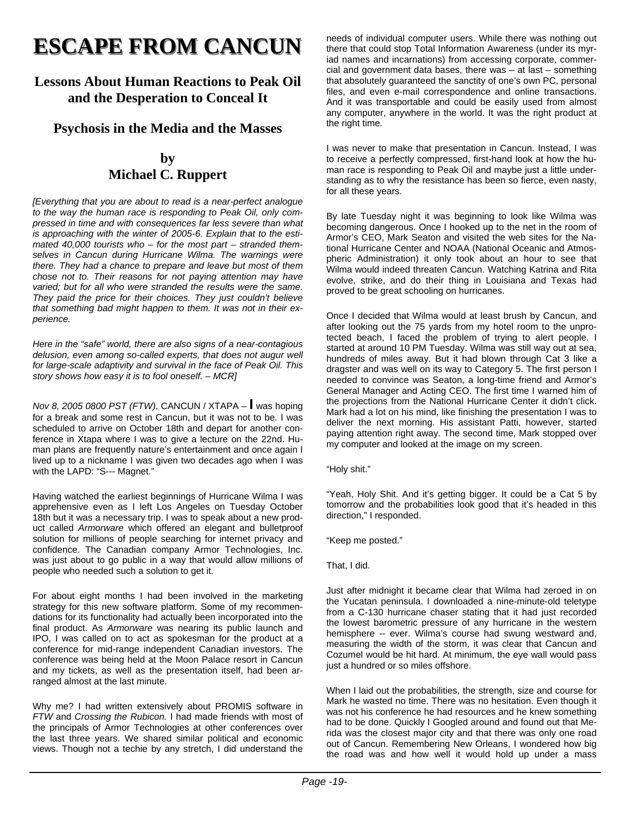## **ESCAPE FROM CANCUN ESCAPE FROM CANCUN**

## **Lessons About Human Reactions to Peak Oil and the Desperation to Conceal It**

### **Psychosis in the Media and the Masses**

### **by Michael C. Ruppert**

*[Everything that you are about to read is a near-perfect analogue to the way the human race is responding to Peak Oil, only compressed in time and with consequences far less severe than what is approaching with the winter of 2005-6. Explain that to the estimated 40,000 tourists who – for the most part – stranded themselves in Cancun during Hurricane Wilma. The warnings were there. They had a chance to prepare and leave but most of them chose not to. Their reasons for not paying attention may have varied; but for all who were stranded the results were the same. They paid the price for their choices. They just couldn't believe that something bad might happen to them. It was not in their experience.*

*Here in the "safe" world, there are also signs of a near-contagious delusion, even among so-called experts, that does not augur well for large-scale adaptivity and survival in the face of Peak Oil. This story shows how easy it is to fool oneself. – MCR]*

*Nov 8, 2005 0800 PST (FTW)*, CANCUN / XTAPA – **I** was hoping for a break and some rest in Cancun, but it was not to be. I was scheduled to arrive on October 18th and depart for another conference in Xtapa where I was to give a lecture on the 22nd. Human plans are frequently nature's entertainment and once again I lived up to a nickname I was given two decades ago when I was with the LAPD: "S--- Magnet."

Having watched the earliest beginnings of Hurricane Wilma I was apprehensive even as I left Los Angeles on Tuesday October 18th but it was a necessary trip. I was to speak about a new product called *Armorware* which offered an elegant and bulletproof solution for millions of people searching for internet privacy and confidence. The Canadian company Armor Technologies, Inc. was just about to go public in a way that would allow millions of people who needed such a solution to get it.

For about eight months I had been involved in the marketing strategy for this new software platform. Some of my recommendations for its functionality had actually been incorporated into the final product. As *Armorware* was nearing its public launch and IPO, I was called on to act as spokesman for the product at a conference for mid-range independent Canadian investors. The conference was being held at the Moon Palace resort in Cancun and my tickets, as well as the presentation itself, had been arranged almost at the last minute.

Why me? I had written extensively about PROMIS software in *FTW* and *Crossing the Rubicon.* I had made friends with most of the principals of Armor Technologies at other conferences over the last three years. We shared similar political and economic views. Though not a techie by any stretch, I did understand the needs of individual computer users. While there was nothing out there that could stop Total Information Awareness (under its myriad names and incarnations) from accessing corporate, commercial and government data bases, there was – at last – something that absolutely guaranteed the sanctity of one's own PC, personal files, and even e-mail correspondence and online transactions. And it was transportable and could be easily used from almost any computer, anywhere in the world. It was the right product at the right time.

I was never to make that presentation in Cancun. Instead, I was to receive a perfectly compressed, first-hand look at how the human race is responding to Peak Oil and maybe just a little understanding as to why the resistance has been so fierce, even nasty, for all these years.

By late Tuesday night it was beginning to look like Wilma was becoming dangerous. Once I hooked up to the net in the room of Armor's CEO, Mark Seaton and visited the web sites for the National Hurricane Center and NOAA (National Oceanic and Atmospheric Administration) it only took about an hour to see that Wilma would indeed threaten Cancun. Watching Katrina and Rita evolve, strike, and do their thing in Louisiana and Texas had proved to be great schooling on hurricanes.

Once I decided that Wilma would at least brush by Cancun, and after looking out the 75 yards from my hotel room to the unprotected beach, I faced the problem of trying to alert people. I started at around 10 PM Tuesday. Wilma was still way out at sea, hundreds of miles away. But it had blown through Cat 3 like a dragster and was well on its way to Category 5. The first person I needed to convince was Seaton, a long-time friend and Armor's General Manager and Acting CEO. The first time I warned him of the projections from the National Hurricane Center it didn't click. Mark had a lot on his mind, like finishing the presentation I was to deliver the next morning. His assistant Patti, however, started paying attention right away. The second time, Mark stopped over my computer and looked at the image on my screen.

"Holy shit."

"Yeah, Holy Shit. And it's getting bigger. It could be a Cat 5 by tomorrow and the probabilities look good that it's headed in this direction," I responded.

"Keep me posted."

That, I did.

Just after midnight it became clear that Wilma had zeroed in on the Yucatan peninsula. I downloaded a nine-minute-old teletype from a C-130 hurricane chaser stating that it had just recorded the lowest barometric pressure of any hurricane in the western hemisphere -- ever. Wilma's course had swung westward and, measuring the width of the storm, it was clear that Cancun and Cozumel would be hit hard. At minimum, the eye wall would pass just a hundred or so miles offshore.

When I laid out the probabilities, the strength, size and course for Mark he wasted no time. There was no hesitation. Even though it was not his conference he had resources and he knew something had to be done. Quickly I Googled around and found out that Merida was the closest major city and that there was only one road out of Cancun. Remembering New Orleans, I wondered how big the road was and how well it would hold up under a mass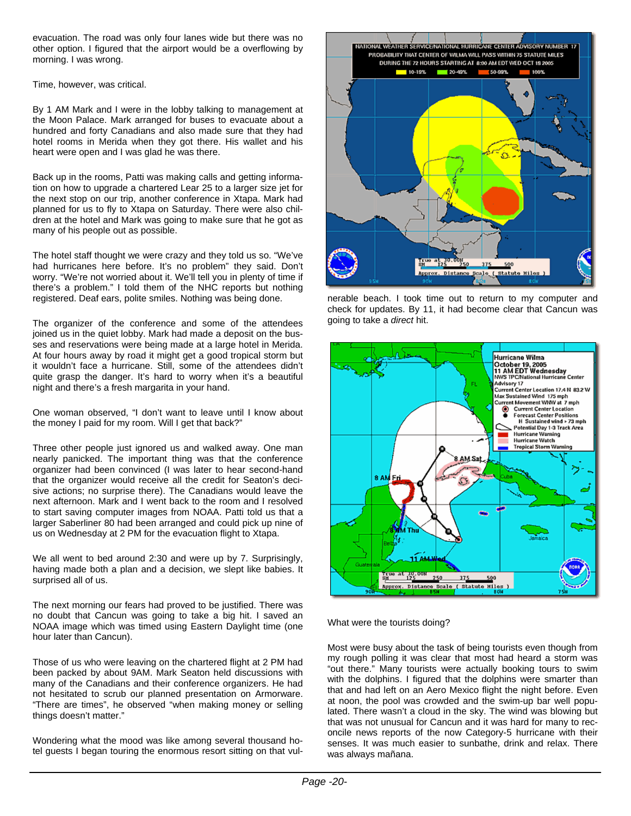evacuation. The road was only four lanes wide but there was no other option. I figured that the airport would be a overflowing by morning. I was wrong.

Time, however, was critical.

By 1 AM Mark and I were in the lobby talking to management at the Moon Palace. Mark arranged for buses to evacuate about a hundred and forty Canadians and also made sure that they had hotel rooms in Merida when they got there. His wallet and his heart were open and I was glad he was there.

Back up in the rooms, Patti was making calls and getting information on how to upgrade a chartered Lear 25 to a larger size jet for the next stop on our trip, another conference in Xtapa. Mark had planned for us to fly to Xtapa on Saturday. There were also children at the hotel and Mark was going to make sure that he got as many of his people out as possible.

The hotel staff thought we were crazy and they told us so. "We've had hurricanes here before. It's no problem" they said. Don't worry. "We're not worried about it. We'll tell you in plenty of time if there's a problem." I told them of the NHC reports but nothing registered. Deaf ears, polite smiles. Nothing was being done.

The organizer of the conference and some of the attendees joined us in the quiet lobby. Mark had made a deposit on the busses and reservations were being made at a large hotel in Merida. At four hours away by road it might get a good tropical storm but it wouldn't face a hurricane. Still, some of the attendees didn't quite grasp the danger. It's hard to worry when it's a beautiful night and there's a fresh margarita in your hand.

One woman observed, "I don't want to leave until I know about the money I paid for my room. Will I get that back?"

Three other people just ignored us and walked away. One man nearly panicked. The important thing was that the conference organizer had been convinced (I was later to hear second-hand that the organizer would receive all the credit for Seaton's decisive actions; no surprise there). The Canadians would leave the next afternoon. Mark and I went back to the room and I resolved to start saving computer images from NOAA. Patti told us that a larger Saberliner 80 had been arranged and could pick up nine of us on Wednesday at 2 PM for the evacuation flight to Xtapa.

We all went to bed around 2:30 and were up by 7. Surprisingly, having made both a plan and a decision, we slept like babies. It surprised all of us.

The next morning our fears had proved to be justified. There was no doubt that Cancun was going to take a big hit. I saved an NOAA image which was timed using Eastern Daylight time (one hour later than Cancun).

Those of us who were leaving on the chartered flight at 2 PM had been packed by about 9AM. Mark Seaton held discussions with many of the Canadians and their conference organizers. He had not hesitated to scrub our planned presentation on Armorware. "There are times", he observed "when making money or selling things doesn't matter."

Wondering what the mood was like among several thousand hotel guests I began touring the enormous resort sitting on that vul-



nerable beach. I took time out to return to my computer and check for updates. By 11, it had become clear that Cancun was going to take a *direct* hit.



What were the tourists doing?

Most were busy about the task of being tourists even though from my rough polling it was clear that most had heard a storm was "out there." Many tourists were actually booking tours to swim with the dolphins. I figured that the dolphins were smarter than that and had left on an Aero Mexico flight the night before. Even at noon, the pool was crowded and the swim-up bar well populated. There wasn't a cloud in the sky. The wind was blowing but that was not unusual for Cancun and it was hard for many to reconcile news reports of the now Category-5 hurricane with their senses. It was much easier to sunbathe, drink and relax. There was always mañana.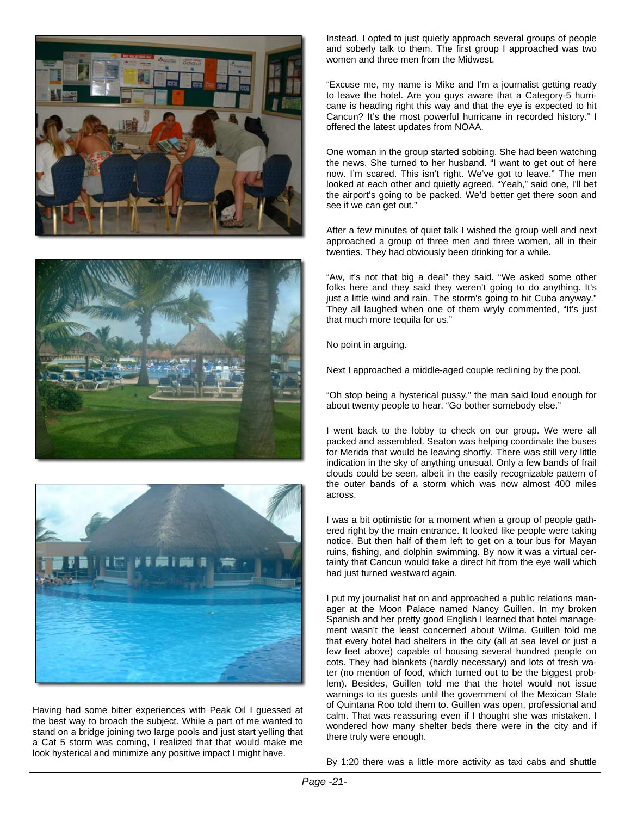





Having had some bitter experiences with Peak Oil I guessed at the best way to broach the subject. While a part of me wanted to stand on a bridge joining two large pools and just start yelling that a Cat 5 storm was coming, I realized that that would make me look hysterical and minimize any positive impact I might have.

Instead, I opted to just quietly approach several groups of people and soberly talk to them. The first group I approached was two women and three men from the Midwest.

"Excuse me, my name is Mike and I'm a journalist getting ready to leave the hotel. Are you guys aware that a Category-5 hurricane is heading right this way and that the eye is expected to hit Cancun? It's the most powerful hurricane in recorded history." I offered the latest updates from NOAA.

One woman in the group started sobbing. She had been watching the news. She turned to her husband. "I want to get out of here now. I'm scared. This isn't right. We've got to leave." The men looked at each other and quietly agreed. "Yeah," said one, I'll bet the airport's going to be packed. We'd better get there soon and see if we can get out."

After a few minutes of quiet talk I wished the group well and next approached a group of three men and three women, all in their twenties. They had obviously been drinking for a while.

"Aw, it's not that big a deal" they said. "We asked some other folks here and they said they weren't going to do anything. It's just a little wind and rain. The storm's going to hit Cuba anyway." They all laughed when one of them wryly commented, "It's just that much more tequila for us."

No point in arguing.

Next I approached a middle-aged couple reclining by the pool.

"Oh stop being a hysterical pussy," the man said loud enough for about twenty people to hear. "Go bother somebody else."

I went back to the lobby to check on our group. We were all packed and assembled. Seaton was helping coordinate the buses for Merida that would be leaving shortly. There was still very little indication in the sky of anything unusual. Only a few bands of frail clouds could be seen, albeit in the easily recognizable pattern of the outer bands of a storm which was now almost 400 miles across.

I was a bit optimistic for a moment when a group of people gathered right by the main entrance. It looked like people were taking notice. But then half of them left to get on a tour bus for Mayan ruins, fishing, and dolphin swimming. By now it was a virtual certainty that Cancun would take a direct hit from the eye wall which had just turned westward again.

I put my journalist hat on and approached a public relations manager at the Moon Palace named Nancy Guillen. In my broken Spanish and her pretty good English I learned that hotel management wasn't the least concerned about Wilma. Guillen told me that every hotel had shelters in the city (all at sea level or just a few feet above) capable of housing several hundred people on cots. They had blankets (hardly necessary) and lots of fresh water (no mention of food, which turned out to be the biggest problem). Besides, Guillen told me that the hotel would not issue warnings to its guests until the government of the Mexican State of Quintana Roo told them to. Guillen was open, professional and calm. That was reassuring even if I thought she was mistaken. I wondered how many shelter beds there were in the city and if there truly were enough.

By 1:20 there was a little more activity as taxi cabs and shuttle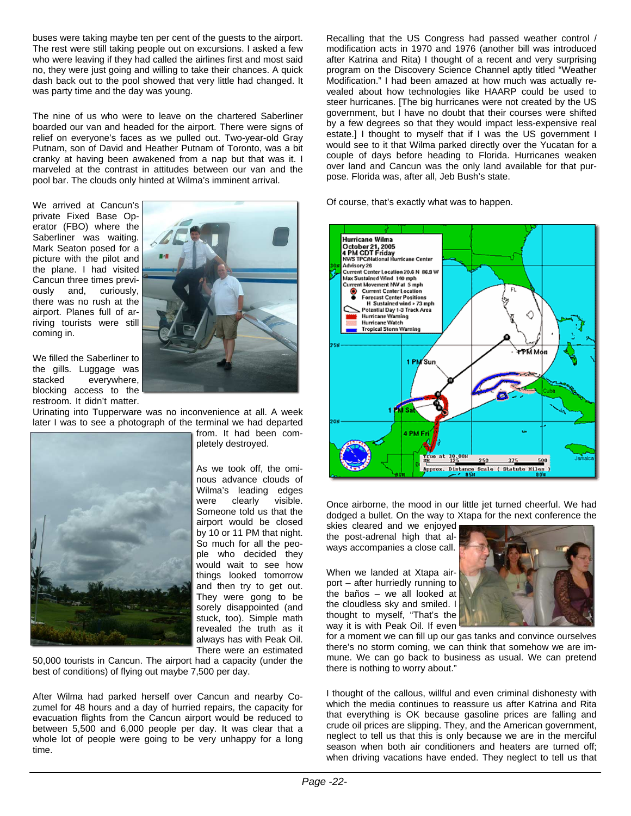buses were taking maybe ten per cent of the guests to the airport. The rest were still taking people out on excursions. I asked a few who were leaving if they had called the airlines first and most said no, they were just going and willing to take their chances. A quick dash back out to the pool showed that very little had changed. It was party time and the day was young.

The nine of us who were to leave on the chartered Saberliner boarded our van and headed for the airport. There were signs of relief on everyone's faces as we pulled out. Two-year-old Gray Putnam, son of David and Heather Putnam of Toronto, was a bit cranky at having been awakened from a nap but that was it. I marveled at the contrast in attitudes between our van and the pool bar. The clouds only hinted at Wilma's imminent arrival.

We arrived at Cancun's private Fixed Base Operator (FBO) where the Saberliner was waiting. Mark Seaton posed for a picture with the pilot and the plane. I had visited Cancun three times previously and, curiously, there was no rush at the airport. Planes full of arriving tourists were still coming in.



We filled the Saberliner to the gills. Luggage was stacked everywhere, blocking access to the restroom. It didn't matter.

Urinating into Tupperware was no inconvenience at all. A week later I was to see a photograph of the terminal we had departed



from. It had been completely destroyed.

As we took off, the ominous advance clouds of Wilma's leading edges were clearly visible. Someone told us that the airport would be closed by 10 or 11 PM that night. So much for all the people who decided they would wait to see how things looked tomorrow and then try to get out. They were gong to be sorely disappointed (and stuck, too). Simple math revealed the truth as it always has with Peak Oil. There were an estimated

50,000 tourists in Cancun. The airport had a capacity (under the best of conditions) of flying out maybe 7,500 per day.

After Wilma had parked herself over Cancun and nearby Cozumel for 48 hours and a day of hurried repairs, the capacity for evacuation flights from the Cancun airport would be reduced to between 5,500 and 6,000 people per day. It was clear that a whole lot of people were going to be very unhappy for a long time.

Recalling that the US Congress had passed weather control / modification acts in 1970 and 1976 (another bill was introduced after Katrina and Rita) I thought of a recent and very surprising program on the Discovery Science Channel aptly titled "Weather Modification." I had been amazed at how much was actually revealed about how technologies like HAARP could be used to steer hurricanes. [The big hurricanes were not created by the US government, but I have no doubt that their courses were shifted by a few degrees so that they would impact less-expensive real estate.] I thought to myself that if I was the US government I would see to it that Wilma parked directly over the Yucatan for a couple of days before heading to Florida. Hurricanes weaken over land and Cancun was the only land available for that purpose. Florida was, after all, Jeb Bush's state.

Of course, that's exactly what was to happen.



Once airborne, the mood in our little jet turned cheerful. We had dodged a bullet. On the way to Xtapa for the next conference the

skies cleared and we enjoyed the post-adrenal high that always accompanies a close call.

When we landed at Xtapa airport – after hurriedly running to the baños – we all looked at the cloudless sky and smiled. I thought to myself, "That's the way it is with Peak Oil. If even



for a moment we can fill up our gas tanks and convince ourselves there's no storm coming, we can think that somehow we are immune. We can go back to business as usual. We can pretend there is nothing to worry about."

I thought of the callous, willful and even criminal dishonesty with which the media continues to reassure us after Katrina and Rita that everything is OK because gasoline prices are falling and crude oil prices are slipping. They, and the American government, neglect to tell us that this is only because we are in the merciful season when both air conditioners and heaters are turned off; when driving vacations have ended. They neglect to tell us that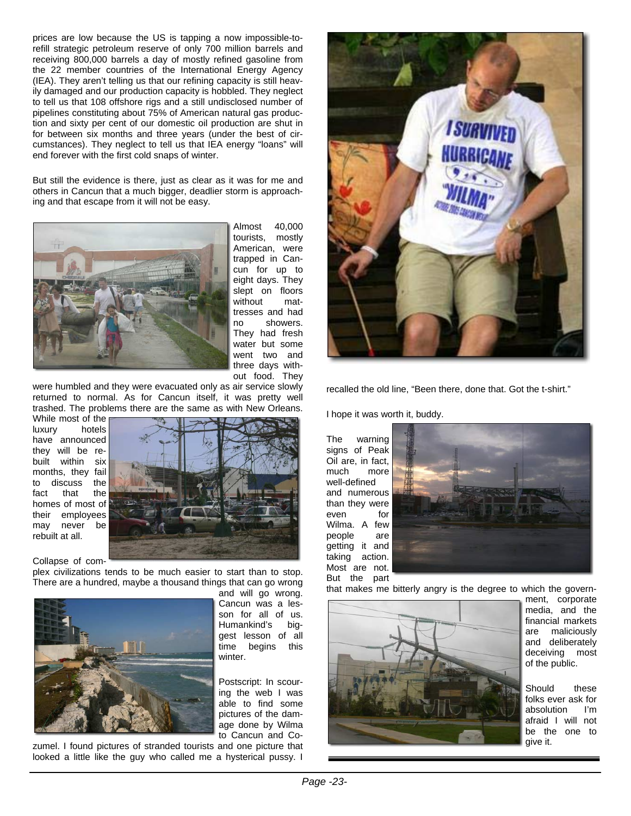prices are low because the US is tapping a now impossible-torefill strategic petroleum reserve of only 700 million barrels and receiving 800,000 barrels a day of mostly refined gasoline from the 22 member countries of the International Energy Agency (IEA). They aren't telling us that our refining capacity is still heavily damaged and our production capacity is hobbled. They neglect to tell us that 108 offshore rigs and a still undisclosed number of pipelines constituting about 75% of American natural gas production and sixty per cent of our domestic oil production are shut in for between six months and three years (under the best of circumstances). They neglect to tell us that IEA energy "loans" will end forever with the first cold snaps of winter.

But still the evidence is there, just as clear as it was for me and others in Cancun that a much bigger, deadlier storm is approaching and that escape from it will not be easy.



Almost 40,000 tourists, mostly American, were trapped in Cancun for up to eight days. They slept on floors without mattresses and had no showers. They had fresh water but some went two and three days without food. They

were humbled and they were evacuated only as air service slowly returned to normal. As for Cancun itself, it was pretty well trashed. The problems there are the same as with New Orleans.

While most of the luxury hotels have announced they will be rebuilt within six months, they fail<br>to discuss the to discuss fact that the homes of most of their employees may never be rebuilt at all.



Collapse of com-

plex civilizations tends to be much easier to start than to stop. There are a hundred, maybe a thousand things that can go wrong



and will go wrong. Cancun was a lesson for all of us. Humankind's biggest lesson of all time begins this winter.

Postscript: In scouring the web I was able to find some pictures of the damage done by Wilma to Cancun and Co-

zumel. I found pictures of stranded tourists and one picture that looked a little like the guy who called me a hysterical pussy. I



recalled the old line, "Been there, done that. Got the t-shirt."

I hope it was worth it, buddy.

The warning signs of Peak Oil are, in fact, much more well-defined and numerous than they were even for Wilma. A few people are getting it and taking action. Most are not. But the part



that makes me bitterly angry is the degree to which the govern-



ment, corporate media, and the financial markets are maliciously and deliberately deceiving most of the public.

Should these folks ever ask for absolution I'm afraid I will not be the one to give it.